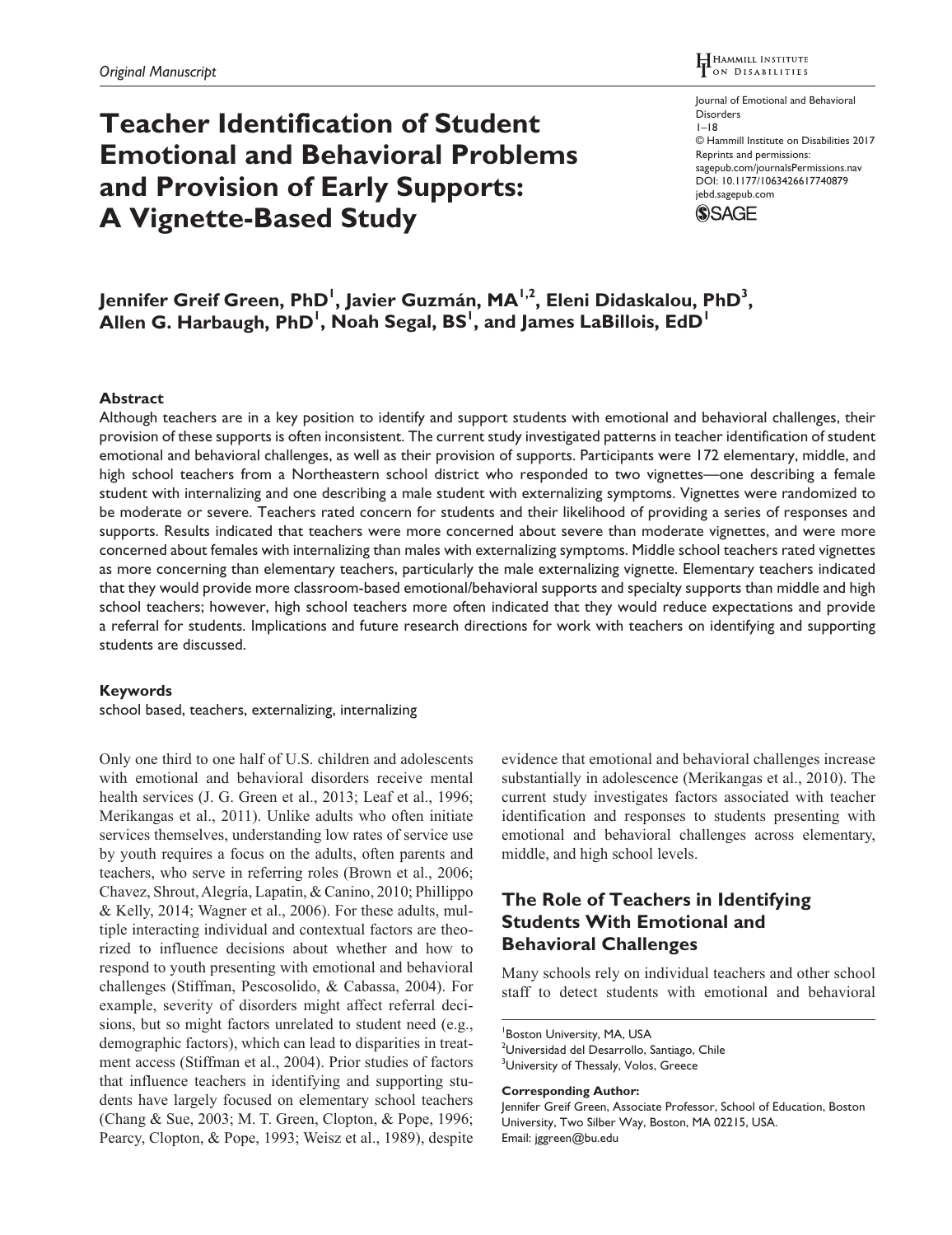# **Teacher Identification of Student Emotional and Behavioral Problems and Provision of Early Supports: A Vignette-Based Study**

#### H HAMMILL INSTITUTE L<br>On Disabilities

Journal of Emotional and Behavioral Disorders  $I-I8$ © Hammill Institute on Disabilities 2017 Reprints and permissions: [sagepub.com/journalsPermissions.nav](https://us.sagepub.com/en-us/journals-permissions) https://doi.org/10.1177/1063426617740879 DOI: 10.1177/1063426617740879 [jebd.sagepub.com](https://jebd.sagepub.com) **SSAGE** 

Jennifer Greif Green, PhD<sup>I</sup>, Javier Guzmán, MA<sup>I,2</sup>, Eleni Didaskalou, PhD<sup>3</sup>, **Allen G. Harbaugh, PhD<sup>1</sup> , Noah Segal, BS1 , and James LaBillois, EdD1**

#### **Abstract**

Although teachers are in a key position to identify and support students with emotional and behavioral challenges, their provision of these supports is often inconsistent. The current study investigated patterns in teacher identification of student emotional and behavioral challenges, as well as their provision of supports. Participants were 172 elementary, middle, and high school teachers from a Northeastern school district who responded to two vignettes—one describing a female student with internalizing and one describing a male student with externalizing symptoms. Vignettes were randomized to be moderate or severe. Teachers rated concern for students and their likelihood of providing a series of responses and supports. Results indicated that teachers were more concerned about severe than moderate vignettes, and were more concerned about females with internalizing than males with externalizing symptoms. Middle school teachers rated vignettes as more concerning than elementary teachers, particularly the male externalizing vignette. Elementary teachers indicated that they would provide more classroom-based emotional/behavioral supports and specialty supports than middle and high school teachers; however, high school teachers more often indicated that they would reduce expectations and provide a referral for students. Implications and future research directions for work with teachers on identifying and supporting students are discussed.

#### **Keywords**

school based, teachers, externalizing, internalizing

Only one third to one half of U.S. children and adolescents with emotional and behavioral disorders receive mental health services (J. G. Green et al., 2013; Leaf et al., 1996; Merikangas et al., 2011). Unlike adults who often initiate services themselves, understanding low rates of service use by youth requires a focus on the adults, often parents and teachers, who serve in referring roles (Brown et al., 2006; Chavez, Shrout, Alegría, Lapatin, & Canino, 2010; Phillippo & Kelly, 2014; Wagner et al., 2006). For these adults, multiple interacting individual and contextual factors are theorized to influence decisions about whether and how to respond to youth presenting with emotional and behavioral challenges (Stiffman, Pescosolido, & Cabassa, 2004). For example, severity of disorders might affect referral decisions, but so might factors unrelated to student need (e.g., demographic factors), which can lead to disparities in treatment access (Stiffman et al., 2004). Prior studies of factors that influence teachers in identifying and supporting students have largely focused on elementary school teachers (Chang & Sue, 2003; M. T. Green, Clopton, & Pope, 1996; Pearcy, Clopton, & Pope, 1993; Weisz et al., 1989), despite evidence that emotional and behavioral challenges increase substantially in adolescence (Merikangas et al., 2010). The current study investigates factors associated with teacher identification and responses to students presenting with emotional and behavioral challenges across elementary, middle, and high school levels.

# **The Role of Teachers in Identifying Students With Emotional and Behavioral Challenges**

Many schools rely on individual teachers and other school staff to detect students with emotional and behavioral

1 Boston University, MA, USA <sup>2</sup>Universidad del Desarrollo, Santiago, Chile <sup>3</sup>University of Thessaly, Volos, Greece

**Corresponding Author:**

Jennifer Greif Green, Associate Professor, School of Education, Boston University, Two Silber Way, Boston, MA 02215, USA. Email: [jggreen@bu.edu](mailto:jggreen@bu.edu)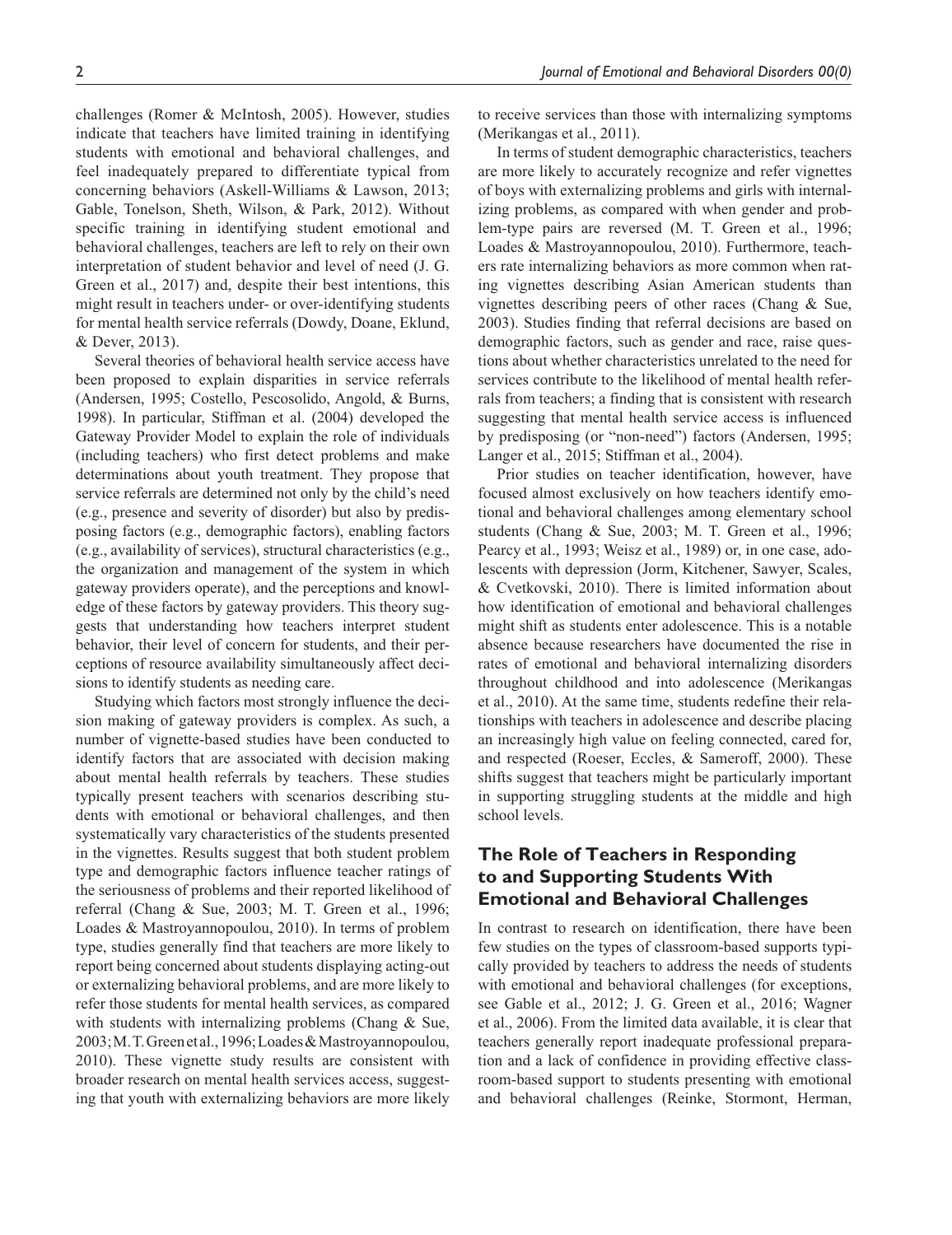challenges (Romer & McIntosh, 2005). However, studies indicate that teachers have limited training in identifying students with emotional and behavioral challenges, and feel inadequately prepared to differentiate typical from concerning behaviors (Askell-Williams & Lawson, 2013; Gable, Tonelson, Sheth, Wilson, & Park, 2012). Without specific training in identifying student emotional and behavioral challenges, teachers are left to rely on their own interpretation of student behavior and level of need (J. G. Green et al., 2017) and, despite their best intentions, this might result in teachers under- or over-identifying students for mental health service referrals (Dowdy, Doane, Eklund, & Dever, 2013).

Several theories of behavioral health service access have been proposed to explain disparities in service referrals (Andersen, 1995; Costello, Pescosolido, Angold, & Burns, 1998). In particular, Stiffman et al. (2004) developed the Gateway Provider Model to explain the role of individuals (including teachers) who first detect problems and make determinations about youth treatment. They propose that service referrals are determined not only by the child's need (e.g., presence and severity of disorder) but also by predisposing factors (e.g., demographic factors), enabling factors (e.g., availability of services), structural characteristics (e.g., the organization and management of the system in which gateway providers operate), and the perceptions and knowledge of these factors by gateway providers. This theory suggests that understanding how teachers interpret student behavior, their level of concern for students, and their perceptions of resource availability simultaneously affect decisions to identify students as needing care.

Studying which factors most strongly influence the decision making of gateway providers is complex. As such, a number of vignette-based studies have been conducted to identify factors that are associated with decision making about mental health referrals by teachers. These studies typically present teachers with scenarios describing students with emotional or behavioral challenges, and then systematically vary characteristics of the students presented in the vignettes. Results suggest that both student problem type and demographic factors influence teacher ratings of the seriousness of problems and their reported likelihood of referral (Chang & Sue, 2003; M. T. Green et al., 1996; Loades & Mastroyannopoulou, 2010). In terms of problem type, studies generally find that teachers are more likely to report being concerned about students displaying acting-out or externalizing behavioral problems, and are more likely to refer those students for mental health services, as compared with students with internalizing problems (Chang & Sue, 2003; M. T. Green etal., 1996; Loades & Mastroyannopoulou, 2010). These vignette study results are consistent with broader research on mental health services access, suggesting that youth with externalizing behaviors are more likely

to receive services than those with internalizing symptoms (Merikangas et al., 2011).

In terms of student demographic characteristics, teachers are more likely to accurately recognize and refer vignettes of boys with externalizing problems and girls with internalizing problems, as compared with when gender and problem-type pairs are reversed (M. T. Green et al., 1996; Loades & Mastroyannopoulou, 2010). Furthermore, teachers rate internalizing behaviors as more common when rating vignettes describing Asian American students than vignettes describing peers of other races (Chang & Sue, 2003). Studies finding that referral decisions are based on demographic factors, such as gender and race, raise questions about whether characteristics unrelated to the need for services contribute to the likelihood of mental health referrals from teachers; a finding that is consistent with research suggesting that mental health service access is influenced by predisposing (or "non-need") factors (Andersen, 1995; Langer et al., 2015; Stiffman et al., 2004).

Prior studies on teacher identification, however, have focused almost exclusively on how teachers identify emotional and behavioral challenges among elementary school students (Chang & Sue, 2003; M. T. Green et al., 1996; Pearcy et al., 1993; Weisz et al., 1989) or, in one case, adolescents with depression (Jorm, Kitchener, Sawyer, Scales, & Cvetkovski, 2010). There is limited information about how identification of emotional and behavioral challenges might shift as students enter adolescence. This is a notable absence because researchers have documented the rise in rates of emotional and behavioral internalizing disorders throughout childhood and into adolescence (Merikangas et al., 2010). At the same time, students redefine their relationships with teachers in adolescence and describe placing an increasingly high value on feeling connected, cared for, and respected (Roeser, Eccles, & Sameroff, 2000). These shifts suggest that teachers might be particularly important in supporting struggling students at the middle and high school levels.

# **The Role of Teachers in Responding to and Supporting Students With Emotional and Behavioral Challenges**

In contrast to research on identification, there have been few studies on the types of classroom-based supports typically provided by teachers to address the needs of students with emotional and behavioral challenges (for exceptions, see Gable et al., 2012; J. G. Green et al., 2016; Wagner et al., 2006). From the limited data available, it is clear that teachers generally report inadequate professional preparation and a lack of confidence in providing effective classroom-based support to students presenting with emotional and behavioral challenges (Reinke, Stormont, Herman,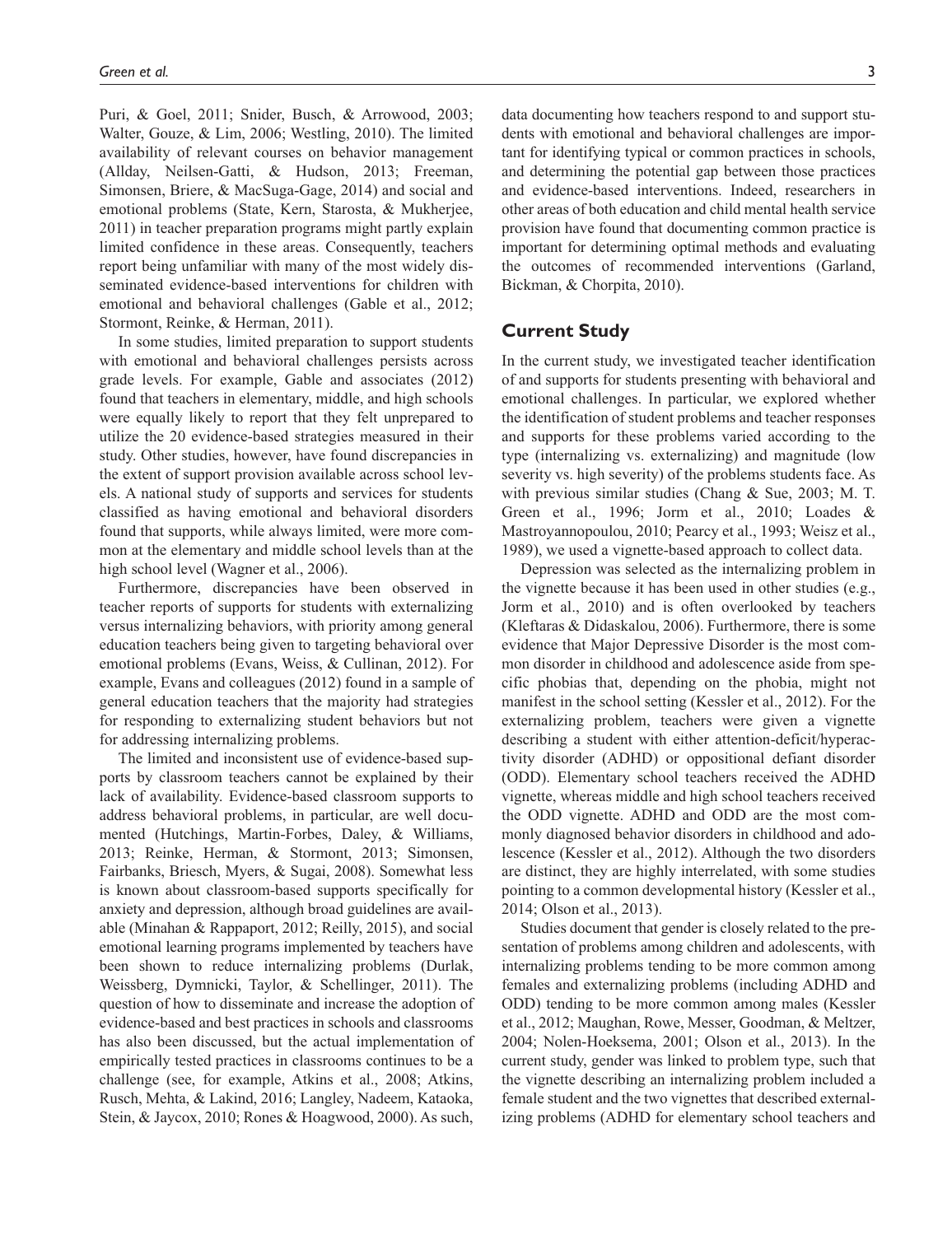Puri, & Goel, 2011; Snider, Busch, & Arrowood, 2003; Walter, Gouze, & Lim, 2006; Westling, 2010). The limited availability of relevant courses on behavior management (Allday, Neilsen-Gatti, & Hudson, 2013; Freeman, Simonsen, Briere, & MacSuga-Gage, 2014) and social and emotional problems (State, Kern, Starosta, & Mukherjee, 2011) in teacher preparation programs might partly explain limited confidence in these areas. Consequently, teachers report being unfamiliar with many of the most widely disseminated evidence-based interventions for children with emotional and behavioral challenges (Gable et al., 2012; Stormont, Reinke, & Herman, 2011).

In some studies, limited preparation to support students with emotional and behavioral challenges persists across grade levels. For example, Gable and associates (2012) found that teachers in elementary, middle, and high schools were equally likely to report that they felt unprepared to utilize the 20 evidence-based strategies measured in their study. Other studies, however, have found discrepancies in the extent of support provision available across school levels. A national study of supports and services for students classified as having emotional and behavioral disorders found that supports, while always limited, were more common at the elementary and middle school levels than at the high school level (Wagner et al., 2006).

Furthermore, discrepancies have been observed in teacher reports of supports for students with externalizing versus internalizing behaviors, with priority among general education teachers being given to targeting behavioral over emotional problems (Evans, Weiss, & Cullinan, 2012). For example, Evans and colleagues (2012) found in a sample of general education teachers that the majority had strategies for responding to externalizing student behaviors but not for addressing internalizing problems.

The limited and inconsistent use of evidence-based supports by classroom teachers cannot be explained by their lack of availability. Evidence-based classroom supports to address behavioral problems, in particular, are well documented (Hutchings, Martin-Forbes, Daley, & Williams, 2013; Reinke, Herman, & Stormont, 2013; Simonsen, Fairbanks, Briesch, Myers, & Sugai, 2008). Somewhat less is known about classroom-based supports specifically for anxiety and depression, although broad guidelines are available (Minahan & Rappaport, 2012; Reilly, 2015), and social emotional learning programs implemented by teachers have been shown to reduce internalizing problems (Durlak, Weissberg, Dymnicki, Taylor, & Schellinger, 2011). The question of how to disseminate and increase the adoption of evidence-based and best practices in schools and classrooms has also been discussed, but the actual implementation of empirically tested practices in classrooms continues to be a challenge (see, for example, Atkins et al., 2008; Atkins, Rusch, Mehta, & Lakind, 2016; Langley, Nadeem, Kataoka, Stein, & Jaycox, 2010; Rones & Hoagwood, 2000). As such,

data documenting how teachers respond to and support students with emotional and behavioral challenges are important for identifying typical or common practices in schools, and determining the potential gap between those practices and evidence-based interventions. Indeed, researchers in other areas of both education and child mental health service provision have found that documenting common practice is important for determining optimal methods and evaluating the outcomes of recommended interventions (Garland, Bickman, & Chorpita, 2010).

### **Current Study**

In the current study, we investigated teacher identification of and supports for students presenting with behavioral and emotional challenges. In particular, we explored whether the identification of student problems and teacher responses and supports for these problems varied according to the type (internalizing vs. externalizing) and magnitude (low severity vs. high severity) of the problems students face. As with previous similar studies (Chang & Sue, 2003; M. T. Green et al., 1996; Jorm et al., 2010; Loades & Mastroyannopoulou, 2010; Pearcy et al., 1993; Weisz et al., 1989), we used a vignette-based approach to collect data.

Depression was selected as the internalizing problem in the vignette because it has been used in other studies (e.g., Jorm et al., 2010) and is often overlooked by teachers (Kleftaras & Didaskalou, 2006). Furthermore, there is some evidence that Major Depressive Disorder is the most common disorder in childhood and adolescence aside from specific phobias that, depending on the phobia, might not manifest in the school setting (Kessler et al., 2012). For the externalizing problem, teachers were given a vignette describing a student with either attention-deficit/hyperactivity disorder (ADHD) or oppositional defiant disorder (ODD). Elementary school teachers received the ADHD vignette, whereas middle and high school teachers received the ODD vignette. ADHD and ODD are the most commonly diagnosed behavior disorders in childhood and adolescence (Kessler et al., 2012). Although the two disorders are distinct, they are highly interrelated, with some studies pointing to a common developmental history (Kessler et al., 2014; Olson et al., 2013).

Studies document that gender is closely related to the presentation of problems among children and adolescents, with internalizing problems tending to be more common among females and externalizing problems (including ADHD and ODD) tending to be more common among males (Kessler et al., 2012; Maughan, Rowe, Messer, Goodman, & Meltzer, 2004; Nolen-Hoeksema, 2001; Olson et al., 2013). In the current study, gender was linked to problem type, such that the vignette describing an internalizing problem included a female student and the two vignettes that described externalizing problems (ADHD for elementary school teachers and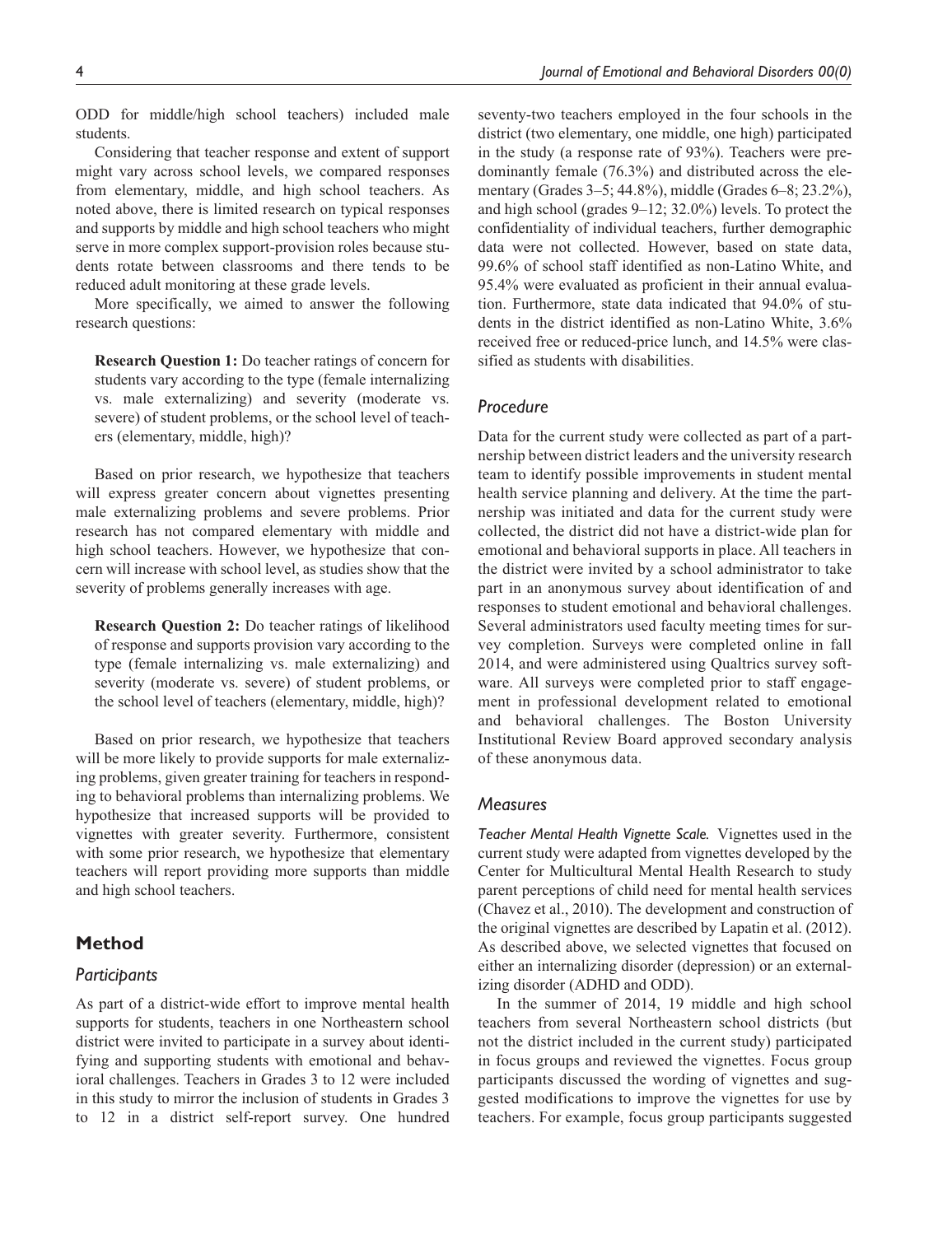ODD for middle/high school teachers) included male students.

Considering that teacher response and extent of support might vary across school levels, we compared responses from elementary, middle, and high school teachers. As noted above, there is limited research on typical responses and supports by middle and high school teachers who might serve in more complex support-provision roles because students rotate between classrooms and there tends to be reduced adult monitoring at these grade levels.

More specifically, we aimed to answer the following research questions:

**Research Question 1:** Do teacher ratings of concern for students vary according to the type (female internalizing vs. male externalizing) and severity (moderate vs. severe) of student problems, or the school level of teachers (elementary, middle, high)?

Based on prior research, we hypothesize that teachers will express greater concern about vignettes presenting male externalizing problems and severe problems. Prior research has not compared elementary with middle and high school teachers. However, we hypothesize that concern will increase with school level, as studies show that the severity of problems generally increases with age.

**Research Question 2:** Do teacher ratings of likelihood of response and supports provision vary according to the type (female internalizing vs. male externalizing) and severity (moderate vs. severe) of student problems, or the school level of teachers (elementary, middle, high)?

Based on prior research, we hypothesize that teachers will be more likely to provide supports for male externalizing problems, given greater training for teachers in responding to behavioral problems than internalizing problems. We hypothesize that increased supports will be provided to vignettes with greater severity. Furthermore, consistent with some prior research, we hypothesize that elementary teachers will report providing more supports than middle and high school teachers.

### **Method**

### *Participants*

As part of a district-wide effort to improve mental health supports for students, teachers in one Northeastern school district were invited to participate in a survey about identifying and supporting students with emotional and behavioral challenges. Teachers in Grades 3 to 12 were included in this study to mirror the inclusion of students in Grades 3 to 12 in a district self-report survey. One hundred

seventy-two teachers employed in the four schools in the district (two elementary, one middle, one high) participated in the study (a response rate of 93%). Teachers were predominantly female (76.3%) and distributed across the elementary (Grades 3–5; 44.8%), middle (Grades 6–8; 23.2%), and high school (grades 9–12; 32.0%) levels. To protect the confidentiality of individual teachers, further demographic data were not collected. However, based on state data, 99.6% of school staff identified as non-Latino White, and 95.4% were evaluated as proficient in their annual evaluation. Furthermore, state data indicated that 94.0% of students in the district identified as non-Latino White, 3.6% received free or reduced-price lunch, and 14.5% were classified as students with disabilities.

### *Procedure*

Data for the current study were collected as part of a partnership between district leaders and the university research team to identify possible improvements in student mental health service planning and delivery. At the time the partnership was initiated and data for the current study were collected, the district did not have a district-wide plan for emotional and behavioral supports in place. All teachers in the district were invited by a school administrator to take part in an anonymous survey about identification of and responses to student emotional and behavioral challenges. Several administrators used faculty meeting times for survey completion. Surveys were completed online in fall 2014, and were administered using Qualtrics survey software. All surveys were completed prior to staff engagement in professional development related to emotional and behavioral challenges. The Boston University Institutional Review Board approved secondary analysis of these anonymous data.

# *Measures*

*Teacher Mental Health Vignette Scale.* Vignettes used in the current study were adapted from vignettes developed by the Center for Multicultural Mental Health Research to study parent perceptions of child need for mental health services (Chavez et al., 2010). The development and construction of the original vignettes are described by Lapatin et al. (2012). As described above, we selected vignettes that focused on either an internalizing disorder (depression) or an externalizing disorder (ADHD and ODD).

In the summer of 2014, 19 middle and high school teachers from several Northeastern school districts (but not the district included in the current study) participated in focus groups and reviewed the vignettes. Focus group participants discussed the wording of vignettes and suggested modifications to improve the vignettes for use by teachers. For example, focus group participants suggested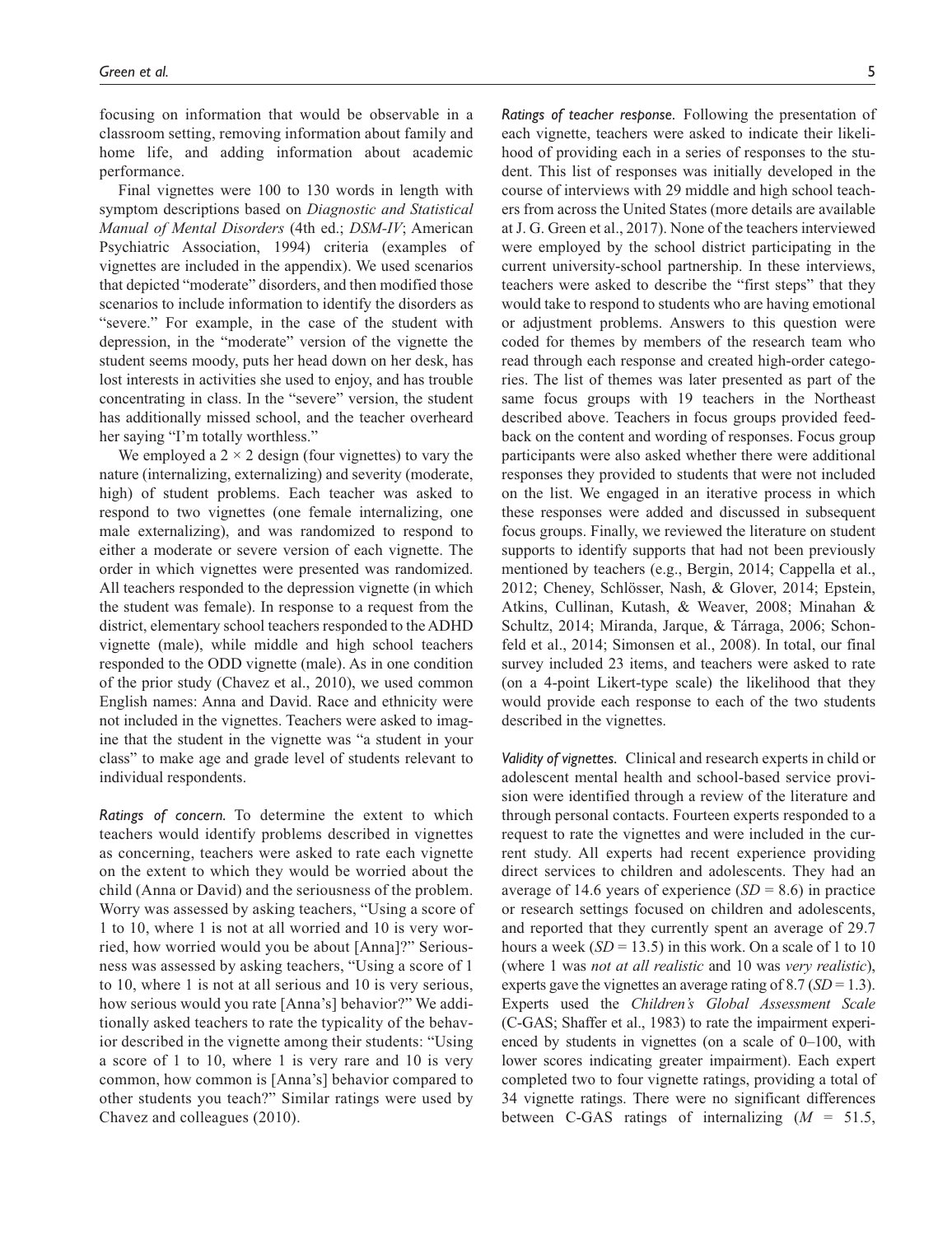focusing on information that would be observable in a classroom setting, removing information about family and home life, and adding information about academic performance.

Final vignettes were 100 to 130 words in length with symptom descriptions based on *Diagnostic and Statistical Manual of Mental Disorders* (4th ed.; *DSM-IV*; American Psychiatric Association, 1994) criteria (examples of vignettes are included in the appendix). We used scenarios that depicted "moderate" disorders, and then modified those scenarios to include information to identify the disorders as "severe." For example, in the case of the student with depression, in the "moderate" version of the vignette the student seems moody, puts her head down on her desk, has lost interests in activities she used to enjoy, and has trouble concentrating in class. In the "severe" version, the student has additionally missed school, and the teacher overheard her saying "I'm totally worthless."

We employed a  $2 \times 2$  design (four vignettes) to vary the nature (internalizing, externalizing) and severity (moderate, high) of student problems. Each teacher was asked to respond to two vignettes (one female internalizing, one male externalizing), and was randomized to respond to either a moderate or severe version of each vignette. The order in which vignettes were presented was randomized. All teachers responded to the depression vignette (in which the student was female). In response to a request from the district, elementary school teachers responded to the ADHD vignette (male), while middle and high school teachers responded to the ODD vignette (male). As in one condition of the prior study (Chavez et al., 2010), we used common English names: Anna and David. Race and ethnicity were not included in the vignettes. Teachers were asked to imagine that the student in the vignette was "a student in your class" to make age and grade level of students relevant to individual respondents.

*Ratings of concern.* To determine the extent to which teachers would identify problems described in vignettes as concerning, teachers were asked to rate each vignette on the extent to which they would be worried about the child (Anna or David) and the seriousness of the problem. Worry was assessed by asking teachers, "Using a score of 1 to 10, where 1 is not at all worried and 10 is very worried, how worried would you be about [Anna]?" Seriousness was assessed by asking teachers, "Using a score of 1 to 10, where 1 is not at all serious and 10 is very serious, how serious would you rate [Anna's] behavior?" We additionally asked teachers to rate the typicality of the behavior described in the vignette among their students: "Using a score of 1 to 10, where 1 is very rare and 10 is very common, how common is [Anna's] behavior compared to other students you teach?" Similar ratings were used by Chavez and colleagues (2010).

*Ratings of teacher response.* Following the presentation of each vignette, teachers were asked to indicate their likelihood of providing each in a series of responses to the student. This list of responses was initially developed in the course of interviews with 29 middle and high school teachers from across the United States (more details are available at J. G. Green et al., 2017). None of the teachers interviewed were employed by the school district participating in the current university-school partnership. In these interviews, teachers were asked to describe the "first steps" that they would take to respond to students who are having emotional or adjustment problems. Answers to this question were coded for themes by members of the research team who read through each response and created high-order categories. The list of themes was later presented as part of the same focus groups with 19 teachers in the Northeast described above. Teachers in focus groups provided feedback on the content and wording of responses. Focus group participants were also asked whether there were additional responses they provided to students that were not included on the list. We engaged in an iterative process in which these responses were added and discussed in subsequent focus groups. Finally, we reviewed the literature on student supports to identify supports that had not been previously mentioned by teachers (e.g., Bergin, 2014; Cappella et al., 2012; Cheney, Schlösser, Nash, & Glover, 2014; Epstein, Atkins, Cullinan, Kutash, & Weaver, 2008; Minahan & Schultz, 2014; Miranda, Jarque, & Tárraga, 2006; Schonfeld et al., 2014; Simonsen et al., 2008). In total, our final survey included 23 items, and teachers were asked to rate (on a 4-point Likert-type scale) the likelihood that they would provide each response to each of the two students described in the vignettes.

*Validity of vignettes.* Clinical and research experts in child or adolescent mental health and school-based service provision were identified through a review of the literature and through personal contacts. Fourteen experts responded to a request to rate the vignettes and were included in the current study. All experts had recent experience providing direct services to children and adolescents. They had an average of 14.6 years of experience  $(SD = 8.6)$  in practice or research settings focused on children and adolescents, and reported that they currently spent an average of 29.7 hours a week  $(SD = 13.5)$  in this work. On a scale of 1 to 10 (where 1 was *not at all realistic* and 10 was *very realistic*), experts gave the vignettes an average rating of 8.7 (*SD* = 1.3). Experts used the *Children's Global Assessment Scale* (C-GAS; Shaffer et al., 1983) to rate the impairment experienced by students in vignettes (on a scale of 0–100, with lower scores indicating greater impairment). Each expert completed two to four vignette ratings, providing a total of 34 vignette ratings. There were no significant differences between C-GAS ratings of internalizing (*M* = 51.5,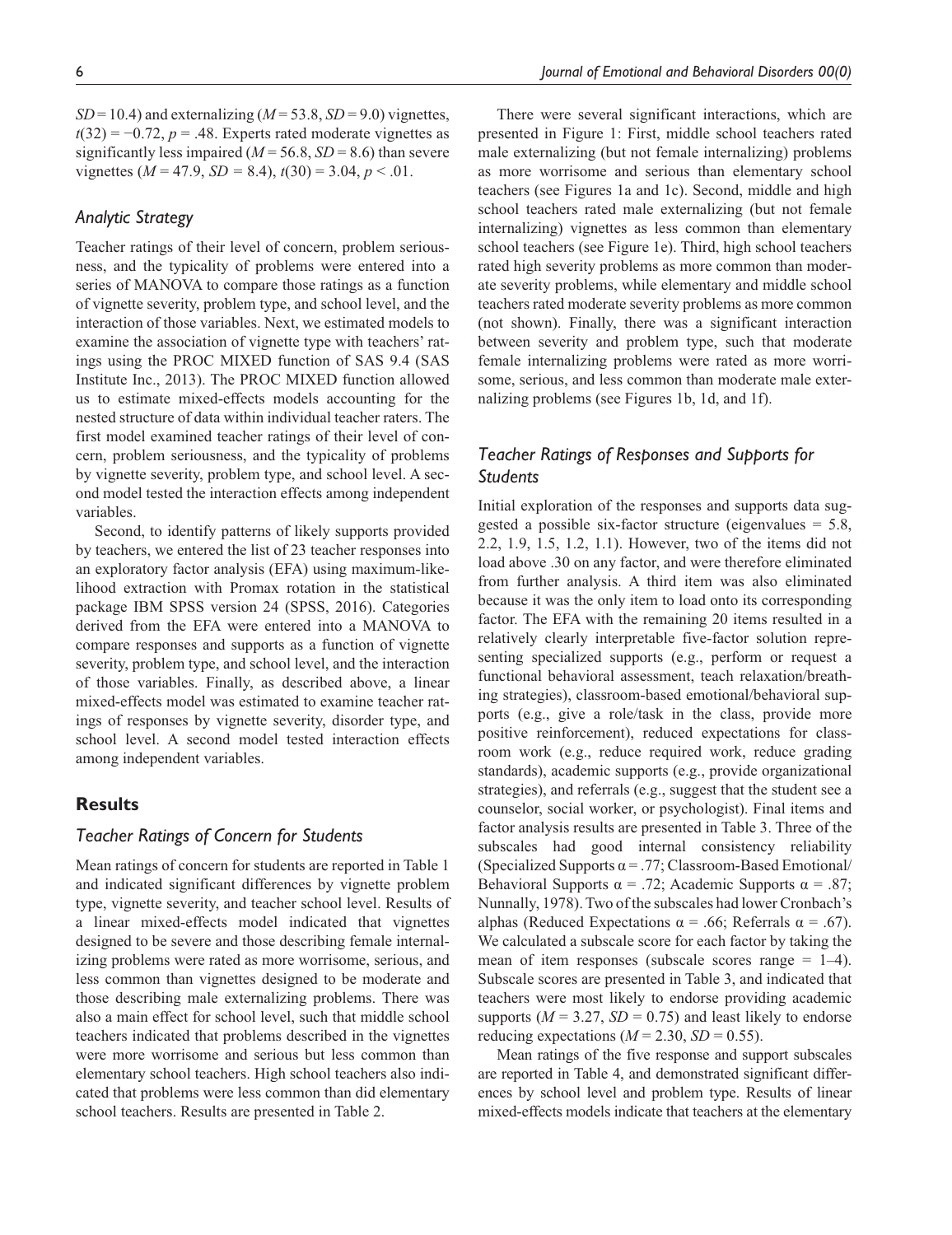$SD = 10.4$ ) and externalizing ( $M = 53.8$ ,  $SD = 9.0$ ) vignettes,  $t(32) = -0.72$ ,  $p = .48$ . Experts rated moderate vignettes as significantly less impaired ( $M = 56.8$ ,  $SD = 8.6$ ) than severe vignettes  $(M = 47.9, SD = 8.4), t(30) = 3.04, p < .01.$ 

### *Analytic Strategy*

Teacher ratings of their level of concern, problem seriousness, and the typicality of problems were entered into a series of MANOVA to compare those ratings as a function of vignette severity, problem type, and school level, and the interaction of those variables. Next, we estimated models to examine the association of vignette type with teachers' ratings using the PROC MIXED function of SAS 9.4 (SAS Institute Inc., 2013). The PROC MIXED function allowed us to estimate mixed-effects models accounting for the nested structure of data within individual teacher raters. The first model examined teacher ratings of their level of concern, problem seriousness, and the typicality of problems by vignette severity, problem type, and school level. A second model tested the interaction effects among independent variables.

Second, to identify patterns of likely supports provided by teachers, we entered the list of 23 teacher responses into an exploratory factor analysis (EFA) using maximum-likelihood extraction with Promax rotation in the statistical package IBM SPSS version 24 (SPSS, 2016). Categories derived from the EFA were entered into a MANOVA to compare responses and supports as a function of vignette severity, problem type, and school level, and the interaction of those variables. Finally, as described above, a linear mixed-effects model was estimated to examine teacher ratings of responses by vignette severity, disorder type, and school level. A second model tested interaction effects among independent variables.

### **Results**

### *Teacher Ratings of Concern for Students*

Mean ratings of concern for students are reported in Table 1 and indicated significant differences by vignette problem type, vignette severity, and teacher school level. Results of a linear mixed-effects model indicated that vignettes designed to be severe and those describing female internalizing problems were rated as more worrisome, serious, and less common than vignettes designed to be moderate and those describing male externalizing problems. There was also a main effect for school level, such that middle school teachers indicated that problems described in the vignettes were more worrisome and serious but less common than elementary school teachers. High school teachers also indicated that problems were less common than did elementary school teachers. Results are presented in Table 2.

There were several significant interactions, which are presented in Figure 1: First, middle school teachers rated male externalizing (but not female internalizing) problems as more worrisome and serious than elementary school teachers (see Figures 1a and 1c). Second, middle and high school teachers rated male externalizing (but not female internalizing) vignettes as less common than elementary school teachers (see Figure 1e). Third, high school teachers rated high severity problems as more common than moderate severity problems, while elementary and middle school teachers rated moderate severity problems as more common (not shown). Finally, there was a significant interaction between severity and problem type, such that moderate female internalizing problems were rated as more worrisome, serious, and less common than moderate male externalizing problems (see Figures 1b, 1d, and 1f).

# *Teacher Ratings of Responses and Supports for Students*

Initial exploration of the responses and supports data suggested a possible six-factor structure (eigenvalues = 5.8, 2.2, 1.9, 1.5, 1.2, 1.1). However, two of the items did not load above .30 on any factor, and were therefore eliminated from further analysis. A third item was also eliminated because it was the only item to load onto its corresponding factor. The EFA with the remaining 20 items resulted in a relatively clearly interpretable five-factor solution representing specialized supports (e.g., perform or request a functional behavioral assessment, teach relaxation/breathing strategies), classroom-based emotional/behavioral supports (e.g., give a role/task in the class, provide more positive reinforcement), reduced expectations for classroom work (e.g., reduce required work, reduce grading standards), academic supports (e.g., provide organizational strategies), and referrals (e.g., suggest that the student see a counselor, social worker, or psychologist). Final items and factor analysis results are presented in Table 3. Three of the subscales had good internal consistency reliability (Specialized Supports  $\alpha = .77$ ; Classroom-Based Emotional/ Behavioral Supports  $\alpha = .72$ ; Academic Supports  $\alpha = .87$ ; Nunnally, 1978). Two of the subscales had lower Cronbach's alphas (Reduced Expectations  $\alpha$  = .66; Referrals  $\alpha$  = .67). We calculated a subscale score for each factor by taking the mean of item responses (subscale scores range  $= 1-4$ ). Subscale scores are presented in Table 3, and indicated that teachers were most likely to endorse providing academic supports ( $M = 3.27$ ,  $SD = 0.75$ ) and least likely to endorse reducing expectations ( $M = 2.30$ ,  $SD = 0.55$ ).

Mean ratings of the five response and support subscales are reported in Table 4, and demonstrated significant differences by school level and problem type. Results of linear mixed-effects models indicate that teachers at the elementary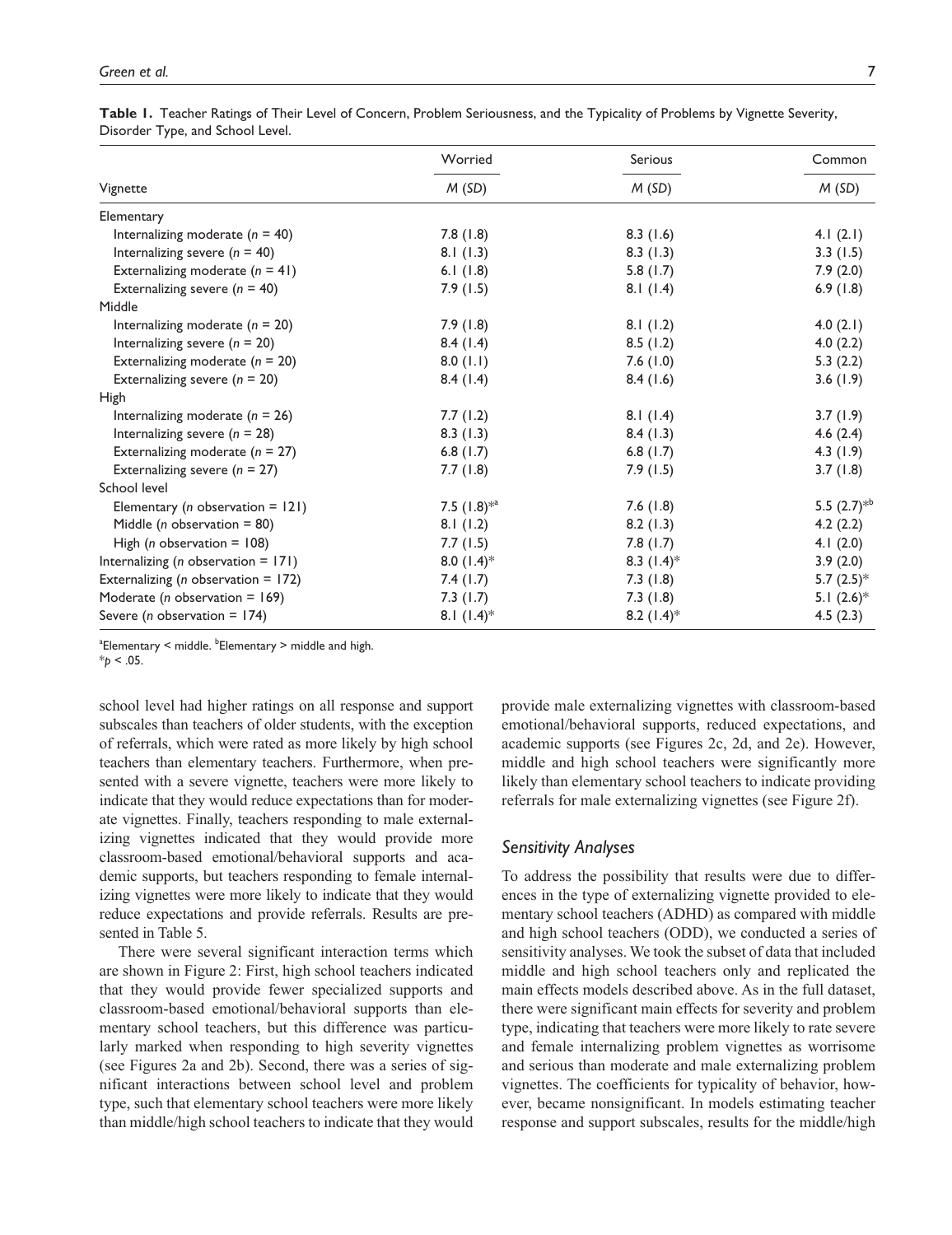|                                                  | Worried                   | Serious                  | Common                    |  |
|--------------------------------------------------|---------------------------|--------------------------|---------------------------|--|
| Vignette                                         | M(SD)                     | M(SD)                    | M(SD)                     |  |
| Elementary                                       |                           |                          |                           |  |
| Internalizing moderate ( $n = 40$ )              | 7.8(1.8)                  | 8.3(1.6)                 | 4.1 $(2.1)$               |  |
| Internalizing severe $(n = 40)$                  | 8.1(1.3)                  | 8.3(1.3)                 | 3.3(1.5)                  |  |
| Externalizing moderate $(n = 41)$                | 6.1(1.8)                  | 5.8(1.7)                 | 7.9(2.0)                  |  |
| Externalizing severe $(n = 40)$                  | 7.9(1.5)                  | 8.1(1.4)                 | 6.9(1.8)                  |  |
| Middle                                           |                           |                          |                           |  |
| Internalizing moderate ( $n = 20$ )              | 7.9(1.8)                  | 8.1(1.2)                 | 4.0(2.1)                  |  |
| Internalizing severe ( $n = 20$ )                | 8.4(1.4)                  | 8.5(1.2)                 | 4.0(2.2)                  |  |
| Externalizing moderate ( $n = 20$ )              | $8.0$ (1.1)               | 7.6(1.0)                 | 5.3(2.2)                  |  |
| Externalizing severe ( $n = 20$ )                | 8.4(1.4)                  | 8.4(1.6)                 | 3.6(1.9)                  |  |
| High                                             |                           |                          |                           |  |
| Internalizing moderate $(n = 26)$                | 7.7(1.2)                  | 8.1(1.4)                 | 3.7(1.9)                  |  |
| Internalizing severe $(n = 28)$                  | 8.3(1.3)                  | 8.4(1.3)                 | 4.6(2.4)                  |  |
| Externalizing moderate ( $n = 27$ )              | 6.8 $(1.7)$               | 6.8 $(1.7)$              | 4.3(1.9)                  |  |
| Externalizing severe ( $n = 27$ )                | 7.7(1.8)                  | 7.9(1.5)                 | 3.7(1.8)                  |  |
| School level                                     |                           |                          |                           |  |
| Elementary ( <i>n</i> observation = $ 21\rangle$ | 7.5 $(1.8)$ <sup>*a</sup> | 7.6(1.8)                 | 5.5 $(2.7)$ <sup>*b</sup> |  |
| Middle ( <i>n</i> observation = 80)              | 8.1(1.2)                  | 8.2(1.3)                 | 4.2(2.2)                  |  |
| High ( <i>n</i> observation = $108$ )            | 7.7(1.5)                  | 7.8(1.7)                 | 4.1 $(2.0)$               |  |
| Internalizing ( $n$ observation = 171)           | 8.0 $(1.4)$ <sup>*</sup>  | 8.3 $(1.4)$ <sup>*</sup> | 3.9(2.0)                  |  |
| Externalizing ( <i>n</i> observation = $172$ )   | 7.4(1.7)                  | 7.3(1.8)                 | 5.7 $(2.5)*$              |  |
| Moderate ( <i>n</i> observation = $169$ )        | 7.3(1.7)                  | 7.3(1.8)                 | 5.1 $(2.6)$ *             |  |
| Severe ( <i>n</i> observation = $174$ )          | 8.1 $(1.4)^*$             | 8.2 $(1.4)^*$            | 4.5(2.3)                  |  |

**Table 1.** Teacher Ratings of Their Level of Concern, Problem Seriousness, and the Typicality of Problems by Vignette Severity, Disorder Type, and School Level.

<sup>a</sup>Elementary < middle. <sup>b</sup>Elementary > middle and high.

 $*_{p}$  < .05.

school level had higher ratings on all response and support subscales than teachers of older students, with the exception of referrals, which were rated as more likely by high school teachers than elementary teachers. Furthermore, when presented with a severe vignette, teachers were more likely to indicate that they would reduce expectations than for moderate vignettes. Finally, teachers responding to male externalizing vignettes indicated that they would provide more classroom-based emotional/behavioral supports and academic supports, but teachers responding to female internalizing vignettes were more likely to indicate that they would reduce expectations and provide referrals. Results are presented in Table 5.

There were several significant interaction terms which are shown in Figure 2: First, high school teachers indicated that they would provide fewer specialized supports and classroom-based emotional/behavioral supports than elementary school teachers, but this difference was particularly marked when responding to high severity vignettes (see Figures 2a and 2b). Second, there was a series of significant interactions between school level and problem type, such that elementary school teachers were more likely than middle/high school teachers to indicate that they would

provide male externalizing vignettes with classroom-based emotional/behavioral supports, reduced expectations, and academic supports (see Figures 2c, 2d, and 2e). However, middle and high school teachers were significantly more likely than elementary school teachers to indicate providing referrals for male externalizing vignettes (see Figure 2f).

### *Sensitivity Analyses*

To address the possibility that results were due to differences in the type of externalizing vignette provided to elementary school teachers (ADHD) as compared with middle and high school teachers (ODD), we conducted a series of sensitivity analyses. We took the subset of data that included middle and high school teachers only and replicated the main effects models described above. As in the full dataset, there were significant main effects for severity and problem type, indicating that teachers were more likely to rate severe and female internalizing problem vignettes as worrisome and serious than moderate and male externalizing problem vignettes. The coefficients for typicality of behavior, however, became nonsignificant. In models estimating teacher response and support subscales, results for the middle/high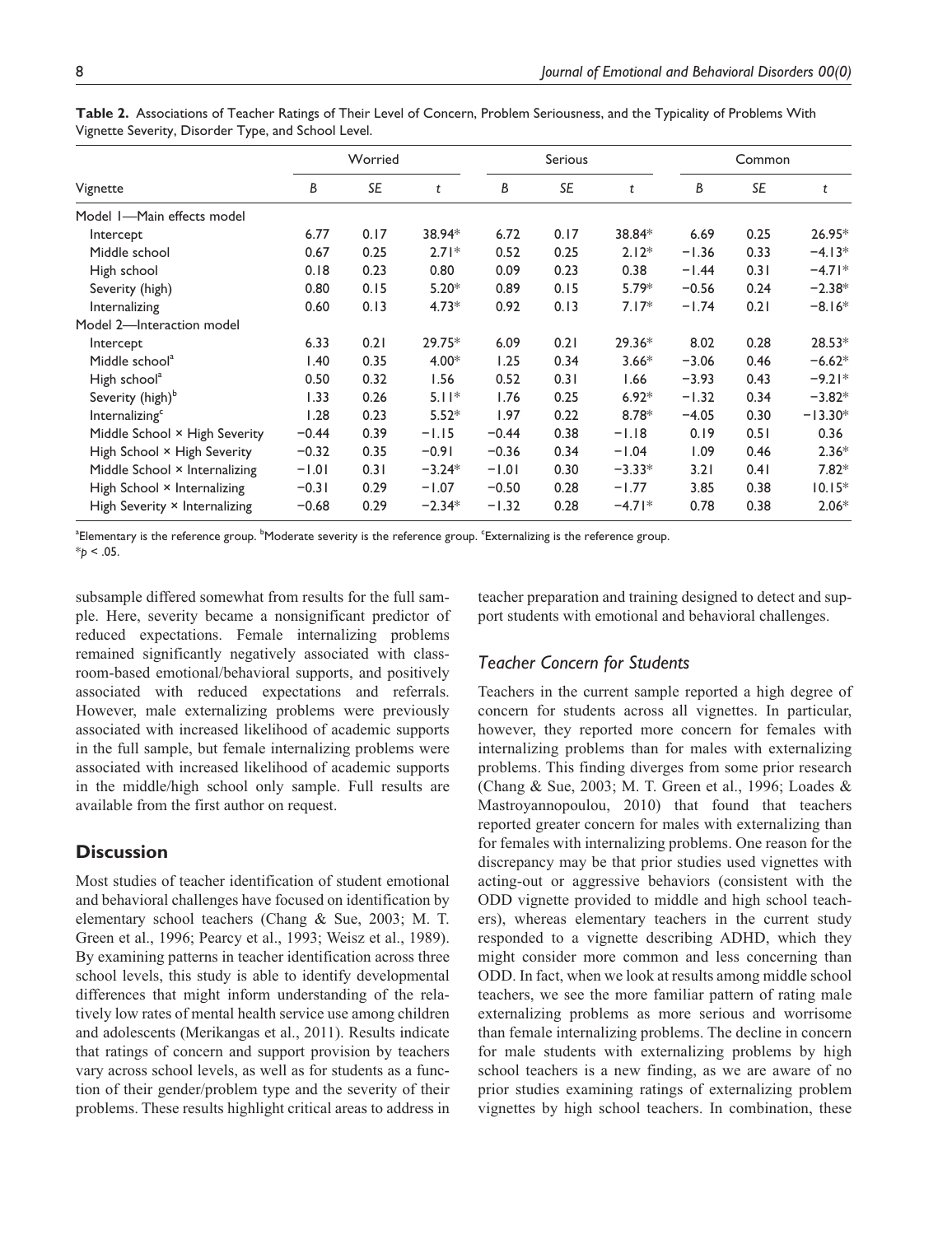|                               | Worried |           |          | Serious |           |          | Common  |           |           |
|-------------------------------|---------|-----------|----------|---------|-----------|----------|---------|-----------|-----------|
| Vignette                      | В       | <b>SE</b> | t        | B       | <b>SE</b> | t        | В       | <b>SE</b> | t         |
| Model I-Main effects model    |         |           |          |         |           |          |         |           |           |
| Intercept                     | 6.77    | 0.17      | 38.94*   | 6.72    | 0.17      | 38.84*   | 6.69    | 0.25      | 26.95*    |
| Middle school                 | 0.67    | 0.25      | $2.71*$  | 0.52    | 0.25      | $2.12*$  | $-1.36$ | 0.33      | $-4.13*$  |
| High school                   | 0.18    | 0.23      | 0.80     | 0.09    | 0.23      | 0.38     | $-1.44$ | 0.31      | $-4.71*$  |
| Severity (high)               | 0.80    | 0.15      | $5.20*$  | 0.89    | 0.15      | $5.79*$  | $-0.56$ | 0.24      | $-2.38*$  |
| Internalizing                 | 0.60    | 0.13      | $4.73*$  | 0.92    | 0.13      | $7.17*$  | $-1.74$ | 0.21      | $-8.16*$  |
| Model 2-Interaction model     |         |           |          |         |           |          |         |           |           |
| Intercept                     | 6.33    | 0.21      | 29.75*   | 6.09    | 0.21      | 29.36*   | 8.02    | 0.28      | 28.53*    |
| Middle school <sup>a</sup>    | 1.40    | 0.35      | $4.00*$  | 1.25    | 0.34      | $3.66*$  | $-3.06$ | 0.46      | $-6.62*$  |
| High school <sup>a</sup>      | 0.50    | 0.32      | 1.56     | 0.52    | 0.31      | 1.66     | $-3.93$ | 0.43      | $-9.21*$  |
| Severity (high) <sup>b</sup>  | 1.33    | 0.26      | $5.11*$  | 1.76    | 0.25      | $6.92*$  | $-1.32$ | 0.34      | $-3.82*$  |
| Internalizing <sup>c</sup>    | 1.28    | 0.23      | $5.52*$  | 1.97    | 0.22      | $8.78*$  | $-4.05$ | 0.30      | $-13.30*$ |
| Middle School × High Severity | $-0.44$ | 0.39      | $-1.15$  | $-0.44$ | 0.38      | $-1.18$  | 0.19    | 0.51      | 0.36      |
| High School × High Severity   | $-0.32$ | 0.35      | $-0.91$  | $-0.36$ | 0.34      | $-1.04$  | 1.09    | 0.46      | $2.36*$   |
| Middle School × Internalizing | $-1.01$ | 0.31      | $-3.24*$ | $-1.01$ | 0.30      | $-3.33*$ | 3.21    | 0.41      | $7.82*$   |
| High School × Internalizing   | $-0.31$ | 0.29      | $-1.07$  | $-0.50$ | 0.28      | $-1.77$  | 3.85    | 0.38      | $10.15*$  |
| High Severity × Internalizing | $-0.68$ | 0.29      | $-2.34*$ | $-1.32$ | 0.28      | $-4.71*$ | 0.78    | 0.38      | $2.06*$   |

**Table 2.** Associations of Teacher Ratings of Their Level of Concern, Problem Seriousness, and the Typicality of Problems With Vignette Severity, Disorder Type, and School Level.

<sup>a</sup>Elementary is the reference group. <sup>b</sup>Moderate severity is the reference group. <sup>c</sup>Externalizing is the reference group.  $*_{p}$  < .05.

subsample differed somewhat from results for the full sample. Here, severity became a nonsignificant predictor of reduced expectations. Female internalizing problems remained significantly negatively associated with classroom-based emotional/behavioral supports, and positively associated with reduced expectations and referrals. However, male externalizing problems were previously associated with increased likelihood of academic supports in the full sample, but female internalizing problems were associated with increased likelihood of academic supports in the middle/high school only sample. Full results are available from the first author on request.

# **Discussion**

Most studies of teacher identification of student emotional and behavioral challenges have focused on identification by elementary school teachers (Chang & Sue, 2003; M. T. Green et al., 1996; Pearcy et al., 1993; Weisz et al., 1989). By examining patterns in teacher identification across three school levels, this study is able to identify developmental differences that might inform understanding of the relatively low rates of mental health service use among children and adolescents (Merikangas et al., 2011). Results indicate that ratings of concern and support provision by teachers vary across school levels, as well as for students as a function of their gender/problem type and the severity of their problems. These results highlight critical areas to address in

teacher preparation and training designed to detect and support students with emotional and behavioral challenges.

# *Teacher Concern for Students*

Teachers in the current sample reported a high degree of concern for students across all vignettes. In particular, however, they reported more concern for females with internalizing problems than for males with externalizing problems. This finding diverges from some prior research (Chang & Sue, 2003; M. T. Green et al., 1996; Loades & Mastroyannopoulou, 2010) that found that teachers reported greater concern for males with externalizing than for females with internalizing problems. One reason for the discrepancy may be that prior studies used vignettes with acting-out or aggressive behaviors (consistent with the ODD vignette provided to middle and high school teachers), whereas elementary teachers in the current study responded to a vignette describing ADHD, which they might consider more common and less concerning than ODD. In fact, when we look at results among middle school teachers, we see the more familiar pattern of rating male externalizing problems as more serious and worrisome than female internalizing problems. The decline in concern for male students with externalizing problems by high school teachers is a new finding, as we are aware of no prior studies examining ratings of externalizing problem vignettes by high school teachers. In combination, these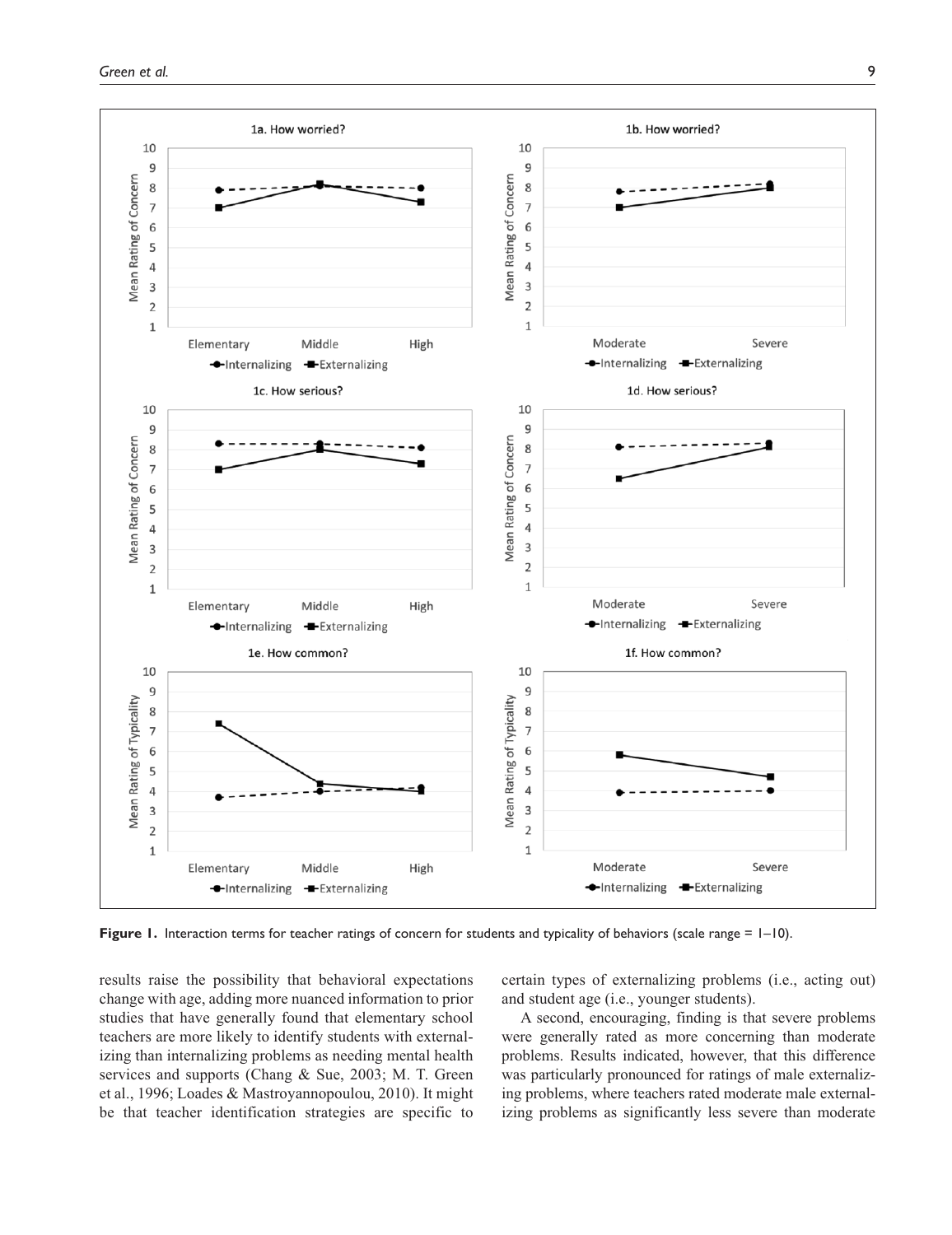

**Figure 1.** Interaction terms for teacher ratings of concern for students and typicality of behaviors (scale range = 1–10).

results raise the possibility that behavioral expectations change with age, adding more nuanced information to prior studies that have generally found that elementary school teachers are more likely to identify students with externalizing than internalizing problems as needing mental health services and supports (Chang & Sue, 2003; M. T. Green et al., 1996; Loades & Mastroyannopoulou, 2010). It might be that teacher identification strategies are specific to certain types of externalizing problems (i.e., acting out) and student age (i.e., younger students).

A second, encouraging, finding is that severe problems were generally rated as more concerning than moderate problems. Results indicated, however, that this difference was particularly pronounced for ratings of male externalizing problems, where teachers rated moderate male externalizing problems as significantly less severe than moderate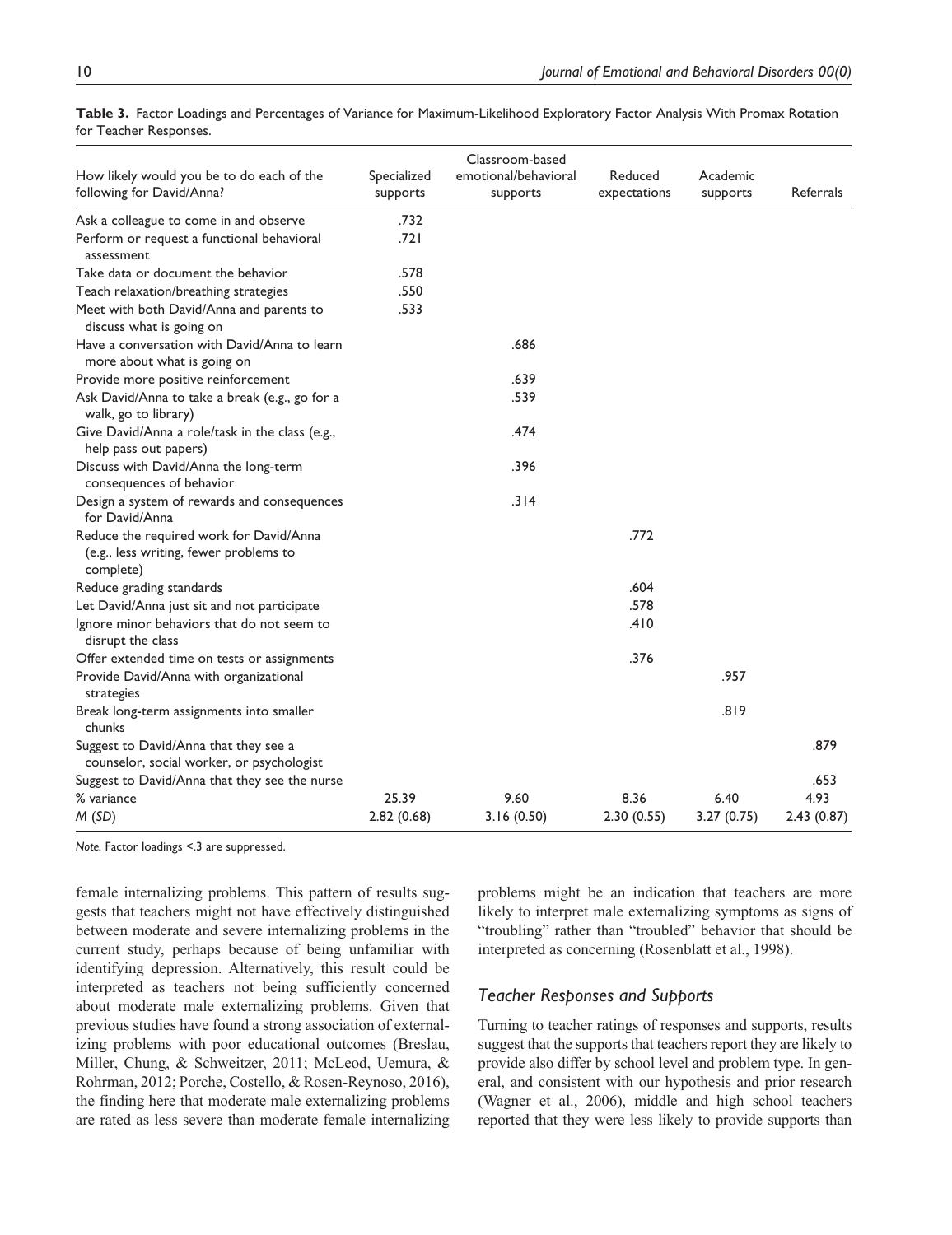| How likely would you be to do each of the<br>following for David/Anna?                         | Specialized<br>supports | Classroom-based<br>emotional/behavioral<br>supports | Reduced<br>expectations | Academic<br>supports | <b>Referrals</b> |
|------------------------------------------------------------------------------------------------|-------------------------|-----------------------------------------------------|-------------------------|----------------------|------------------|
| Ask a colleague to come in and observe                                                         | .732                    |                                                     |                         |                      |                  |
| Perform or request a functional behavioral<br>assessment                                       | .721                    |                                                     |                         |                      |                  |
| Take data or document the behavior                                                             | .578                    |                                                     |                         |                      |                  |
| Teach relaxation/breathing strategies                                                          | .550                    |                                                     |                         |                      |                  |
| Meet with both David/Anna and parents to<br>discuss what is going on                           | .533                    |                                                     |                         |                      |                  |
| Have a conversation with David/Anna to learn<br>more about what is going on                    |                         | .686                                                |                         |                      |                  |
| Provide more positive reinforcement                                                            |                         | .639                                                |                         |                      |                  |
| Ask David/Anna to take a break (e.g., go for a<br>walk, go to library)                         |                         | .539                                                |                         |                      |                  |
| Give David/Anna a role/task in the class (e.g.,<br>help pass out papers)                       |                         | .474                                                |                         |                      |                  |
| Discuss with David/Anna the long-term<br>consequences of behavior                              |                         | .396                                                |                         |                      |                  |
| Design a system of rewards and consequences<br>for David/Anna                                  |                         | .314                                                |                         |                      |                  |
| Reduce the required work for David/Anna<br>(e.g., less writing, fewer problems to<br>complete) |                         |                                                     | .772                    |                      |                  |
| Reduce grading standards                                                                       |                         |                                                     | .604                    |                      |                  |
| Let David/Anna just sit and not participate                                                    |                         |                                                     | .578                    |                      |                  |
| Ignore minor behaviors that do not seem to<br>disrupt the class                                |                         |                                                     | .410                    |                      |                  |
| Offer extended time on tests or assignments                                                    |                         |                                                     | .376                    |                      |                  |
| Provide David/Anna with organizational<br>strategies                                           |                         |                                                     |                         | .957                 |                  |
| Break long-term assignments into smaller<br>chunks                                             |                         |                                                     |                         | .819                 |                  |
| Suggest to David/Anna that they see a<br>counselor, social worker, or psychologist             |                         |                                                     |                         |                      | .879             |
| Suggest to David/Anna that they see the nurse                                                  |                         |                                                     |                         |                      | .653             |
| % variance                                                                                     | 25.39                   | 9.60                                                | 8.36                    | 6.40                 | 4.93             |
| M(SD)                                                                                          | 2.82(0.68)              | 3.16(0.50)                                          | 2.30(0.55)              | 3.27(0.75)           | 2.43 (0.87)      |

**Table 3.** Factor Loadings and Percentages of Variance for Maximum-Likelihood Exploratory Factor Analysis With Promax Rotation for Teacher Responses.

*Note.* Factor loadings <.3 are suppressed.

female internalizing problems. This pattern of results suggests that teachers might not have effectively distinguished between moderate and severe internalizing problems in the current study, perhaps because of being unfamiliar with identifying depression. Alternatively, this result could be interpreted as teachers not being sufficiently concerned about moderate male externalizing problems. Given that previous studies have found a strong association of externalizing problems with poor educational outcomes (Breslau, Miller, Chung, & Schweitzer, 2011; McLeod, Uemura, & Rohrman, 2012; Porche, Costello, & Rosen-Reynoso, 2016), the finding here that moderate male externalizing problems are rated as less severe than moderate female internalizing problems might be an indication that teachers are more likely to interpret male externalizing symptoms as signs of "troubling" rather than "troubled" behavior that should be interpreted as concerning (Rosenblatt et al., 1998).

### *Teacher Responses and Supports*

Turning to teacher ratings of responses and supports, results suggest that the supports that teachers report they are likely to provide also differ by school level and problem type. In general, and consistent with our hypothesis and prior research (Wagner et al., 2006), middle and high school teachers reported that they were less likely to provide supports than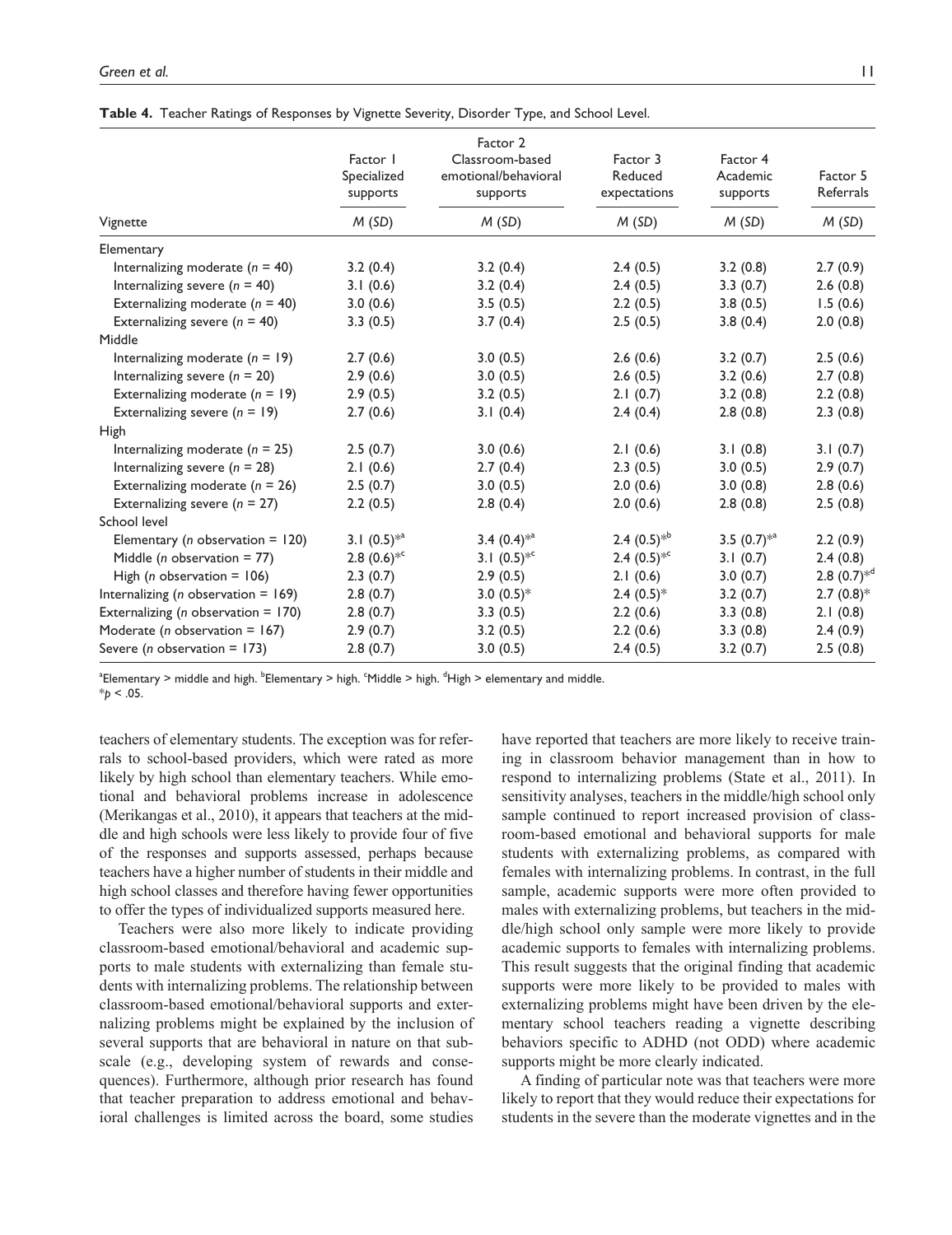**Table 4.** Teacher Ratings of Responses by Vignette Severity, Disorder Type, and School Level.

| Factor 2                                    |                                     |                                                     |                                     |                                  |                                |  |  |  |
|---------------------------------------------|-------------------------------------|-----------------------------------------------------|-------------------------------------|----------------------------------|--------------------------------|--|--|--|
|                                             | Factor I<br>Specialized<br>supports | Classroom-based<br>emotional/behavioral<br>supports | Factor 3<br>Reduced<br>expectations | Factor 4<br>Academic<br>supports | Factor 5<br>Referrals<br>M(SD) |  |  |  |
| Vignette                                    | M(SD)                               | M(SD)                                               | M(SD)                               | M(SD)                            |                                |  |  |  |
| Elementary                                  |                                     |                                                     |                                     |                                  |                                |  |  |  |
| Internalizing moderate ( $n = 40$ )         | 3.2(0.4)                            | 3.2(0.4)                                            | 2.4(0.5)                            | 3.2(0.8)                         | 2.7(0.9)                       |  |  |  |
| Internalizing severe $(n = 40)$             | 3.1(0.6)                            | 3.2(0.4)                                            | 2.4(0.5)                            | 3.3(0.7)                         | 2.6(0.8)                       |  |  |  |
| Externalizing moderate ( $n = 40$ )         | 3.0(0.6)                            | 3.5(0.5)                                            | 2.2(0.5)                            | 3.8(0.5)                         | 1.5(0.6)                       |  |  |  |
| Externalizing severe $(n = 40)$             | 3.3(0.5)                            | 3.7(0.4)                                            | 2.5(0.5)                            | 3.8(0.4)                         | 2.0(0.8)                       |  |  |  |
| Middle                                      |                                     |                                                     |                                     |                                  |                                |  |  |  |
| Internalizing moderate $(n = 19)$           | 2.7(0.6)                            | 3.0(0.5)                                            | 2.6(0.6)                            | 3.2(0.7)                         | 2.5(0.6)                       |  |  |  |
| Internalizing severe $(n = 20)$             | 2.9(0.6)                            | 3.0(0.5)                                            | 2.6(0.5)                            | 3.2(0.6)                         | 2.7(0.8)                       |  |  |  |
| Externalizing moderate $(n = 19)$           | 2.9(0.5)                            | 3.2(0.5)                                            | 2.1(0.7)                            | 3.2(0.8)                         | 2.2(0.8)                       |  |  |  |
| Externalizing severe $(n = 19)$             | 2.7(0.6)                            | 3.1(0.4)                                            | 2.4(0.4)                            | 2.8(0.8)                         | 2.3(0.8)                       |  |  |  |
| High                                        |                                     |                                                     |                                     |                                  |                                |  |  |  |
| Internalizing moderate ( $n = 25$ )         | 2.5(0.7)                            | 3.0(0.6)                                            | 2.1(0.6)                            | 3.1(0.8)                         | 3.1(0.7)                       |  |  |  |
| Internalizing severe $(n = 28)$             | 2.1(0.6)                            | 2.7(0.4)                                            | 2.3(0.5)                            | 3.0(0.5)                         | 2.9(0.7)                       |  |  |  |
| Externalizing moderate ( $n = 26$ )         | 2.5(0.7)                            | 3.0(0.5)                                            | 2.0(0.6)                            | 3.0(0.8)                         | 2.8(0.6)                       |  |  |  |
| Externalizing severe ( $n = 27$ )           | 2.2(0.5)                            | 2.8(0.4)                                            | 2.0(0.6)                            | 2.8(0.8)                         | 2.5(0.8)                       |  |  |  |
| School level                                |                                     |                                                     |                                     |                                  |                                |  |  |  |
| Elementary ( <i>n</i> observation = $120$ ) | 3.1 $(0.5)$ <sup>*a</sup>           | 3.4 $(0.4)$ <sup>*a</sup>                           | 2.4 $(0.5)$ <sup>*b</sup>           | 3.5 $(0.7)$ <sup>*a</sup>        | 2.2(0.9)                       |  |  |  |
| Middle ( <i>n</i> observation = $77$ )      | $2.8(0.6)*c$                        | 3.1 $(0.5)$ <sup>*c</sup>                           | 2.4 $(0.5)$ <sup>*c</sup>           | 3.1(0.7)                         | 2.4(0.8)                       |  |  |  |
| High ( <i>n</i> observation = $106$ )       | 2.3(0.7)                            | 2.9(0.5)                                            | 2.1(0.6)                            | 3.0(0.7)                         | 2.8 $(0.7)$ <sup>*d</sup>      |  |  |  |
| Internalizing ( $n$ observation = 169)      | 2.8(0.7)                            | 3.0 $(0.5)*$                                        | 2.4 $(0.5)^*$                       | 3.2(0.7)                         | $2.7(0.8)*$                    |  |  |  |
| Externalizing ( $n$ observation = 170)      | 2.8(0.7)                            | 3.3(0.5)                                            | 2.2(0.6)                            | 3.3(0.8)                         | 2.1(0.8)                       |  |  |  |
| Moderate ( <i>n</i> observation = $167$ )   | 2.9(0.7)                            | 3.2(0.5)                                            | 2.2(0.6)                            | 3.3(0.8)                         | 2.4(0.9)                       |  |  |  |
| Severe ( <i>n</i> observation = $173$ )     | 2.8(0.7)                            | 3.0(0.5)                                            | 2.4(0.5)                            | 3.2(0.7)                         | 2.5(0.8)                       |  |  |  |

 $^{\rm a}$ Elementary > middle and high.  $^{\rm b}$ Elementary > high. <code>'Middle > high. <code> $^{\rm d}$ High > elementary</code> and middle.</code>  $*_{p}$  < .05.

teachers of elementary students. The exception was for referrals to school-based providers, which were rated as more likely by high school than elementary teachers. While emotional and behavioral problems increase in adolescence (Merikangas et al., 2010), it appears that teachers at the middle and high schools were less likely to provide four of five of the responses and supports assessed, perhaps because teachers have a higher number of students in their middle and high school classes and therefore having fewer opportunities to offer the types of individualized supports measured here.

Teachers were also more likely to indicate providing classroom-based emotional/behavioral and academic supports to male students with externalizing than female students with internalizing problems. The relationship between classroom-based emotional/behavioral supports and externalizing problems might be explained by the inclusion of several supports that are behavioral in nature on that subscale (e.g., developing system of rewards and consequences). Furthermore, although prior research has found that teacher preparation to address emotional and behavioral challenges is limited across the board, some studies have reported that teachers are more likely to receive training in classroom behavior management than in how to respond to internalizing problems (State et al., 2011). In sensitivity analyses, teachers in the middle/high school only sample continued to report increased provision of classroom-based emotional and behavioral supports for male students with externalizing problems, as compared with females with internalizing problems. In contrast, in the full sample, academic supports were more often provided to males with externalizing problems, but teachers in the middle/high school only sample were more likely to provide academic supports to females with internalizing problems. This result suggests that the original finding that academic supports were more likely to be provided to males with externalizing problems might have been driven by the elementary school teachers reading a vignette describing behaviors specific to ADHD (not ODD) where academic supports might be more clearly indicated.

A finding of particular note was that teachers were more likely to report that they would reduce their expectations for students in the severe than the moderate vignettes and in the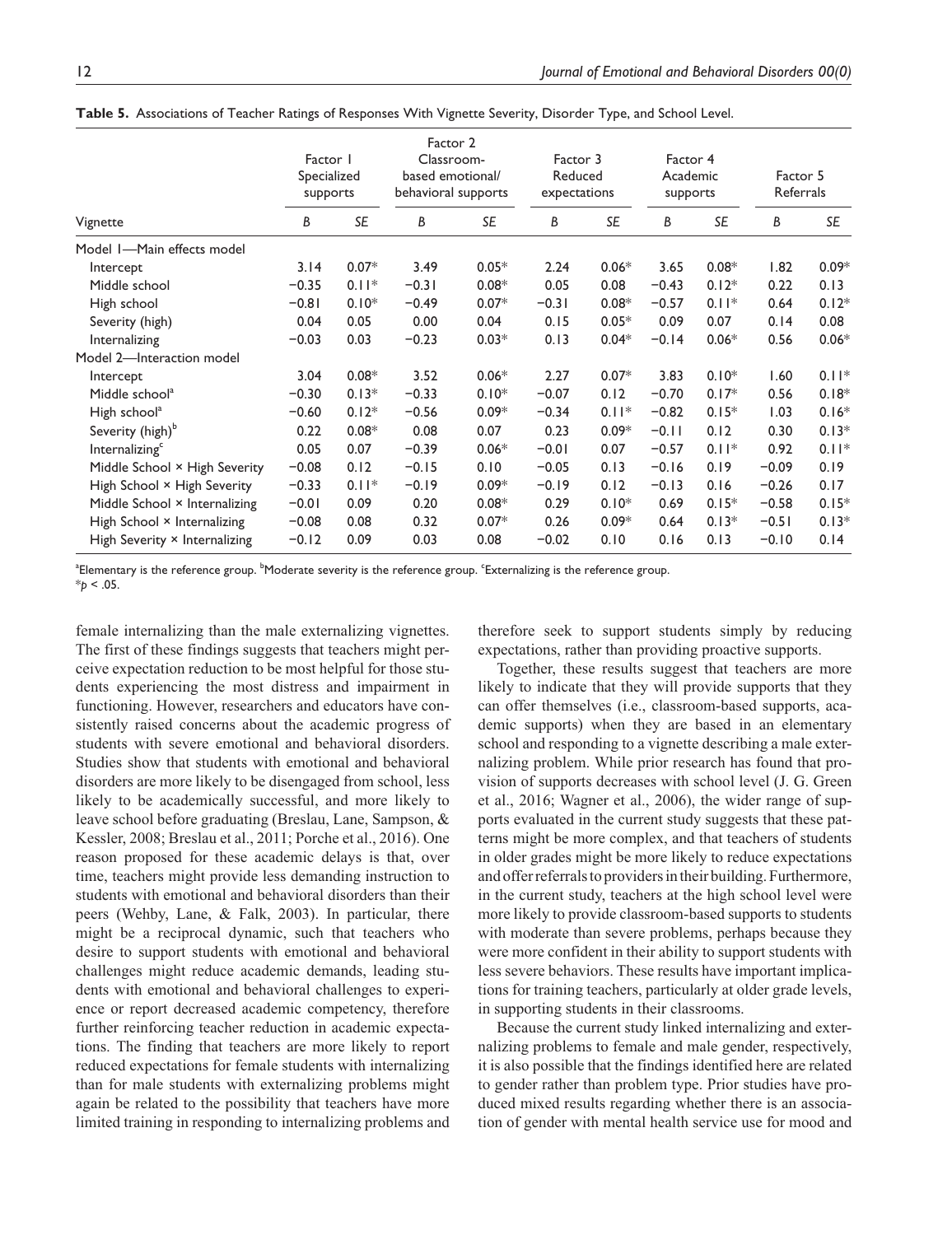|                               | Factor 1<br>Specialized<br>supports |           | Factor 2<br>Classroom-<br>based emotional/<br>behavioral supports |           | Factor 3<br>Reduced<br>expectations |           | Factor 4<br>Academic<br>supports |           | Factor 5<br>Referrals |           |
|-------------------------------|-------------------------------------|-----------|-------------------------------------------------------------------|-----------|-------------------------------------|-----------|----------------------------------|-----------|-----------------------|-----------|
| Vignette                      | B                                   | <b>SE</b> | B                                                                 | <b>SE</b> | B                                   | <b>SE</b> | B                                | <b>SE</b> | В                     | <b>SE</b> |
| Model I-Main effects model    |                                     |           |                                                                   |           |                                     |           |                                  |           |                       |           |
| Intercept                     | 3.14                                | $0.07*$   | 3.49                                                              | $0.05*$   | 2.24                                | $0.06*$   | 3.65                             | $0.08*$   | 1.82                  | $0.09*$   |
| Middle school                 | $-0.35$                             | $0.11*$   | $-0.31$                                                           | $0.08*$   | 0.05                                | 0.08      | $-0.43$                          | $0.12*$   | 0.22                  | 0.13      |
| High school                   | $-0.81$                             | $0.10*$   | $-0.49$                                                           | $0.07*$   | $-0.31$                             | $0.08*$   | $-0.57$                          | $0.11*$   | 0.64                  | $0.12*$   |
| Severity (high)               | 0.04                                | 0.05      | 0.00                                                              | 0.04      | 0.15                                | $0.05*$   | 0.09                             | 0.07      | 0.14                  | 0.08      |
| Internalizing                 | $-0.03$                             | 0.03      | $-0.23$                                                           | $0.03*$   | 0.13                                | $0.04*$   | $-0.14$                          | $0.06*$   | 0.56                  | $0.06*$   |
| Model 2-Interaction model     |                                     |           |                                                                   |           |                                     |           |                                  |           |                       |           |
| Intercept                     | 3.04                                | $0.08*$   | 3.52                                                              | $0.06*$   | 2.27                                | $0.07*$   | 3.83                             | $0.10*$   | 1.60                  | $0.11*$   |
| Middle school <sup>a</sup>    | $-0.30$                             | $0.13*$   | $-0.33$                                                           | $0.10*$   | $-0.07$                             | 0.12      | $-0.70$                          | $0.17*$   | 0.56                  | $0.18*$   |
| High school <sup>a</sup>      | $-0.60$                             | $0.12*$   | $-0.56$                                                           | $0.09*$   | $-0.34$                             | $0.11*$   | $-0.82$                          | $0.15*$   | 1.03                  | $0.16*$   |
| Severity (high) <sup>b</sup>  | 0.22                                | $0.08*$   | 0.08                                                              | 0.07      | 0.23                                | $0.09*$   | $-0.11$                          | 0.12      | 0.30                  | $0.13*$   |
| Internalizing <sup>c</sup>    | 0.05                                | 0.07      | $-0.39$                                                           | $0.06*$   | $-0.01$                             | 0.07      | $-0.57$                          | $0.11*$   | 0.92                  | $0.11*$   |
| Middle School × High Severity | $-0.08$                             | 0.12      | $-0.15$                                                           | 0.10      | $-0.05$                             | 0.13      | $-0.16$                          | 0.19      | $-0.09$               | 0.19      |
| High School × High Severity   | $-0.33$                             | $0.11*$   | $-0.19$                                                           | $0.09*$   | $-0.19$                             | 0.12      | $-0.13$                          | 0.16      | $-0.26$               | 0.17      |
| Middle School × Internalizing | $-0.01$                             | 0.09      | 0.20                                                              | $0.08*$   | 0.29                                | $0.10*$   | 0.69                             | $0.15*$   | $-0.58$               | $0.15*$   |
| High School × Internalizing   | $-0.08$                             | 0.08      | 0.32                                                              | $0.07*$   | 0.26                                | $0.09*$   | 0.64                             | $0.13*$   | $-0.51$               | $0.13*$   |
| High Severity × Internalizing | $-0.12$                             | 0.09      | 0.03                                                              | 0.08      | $-0.02$                             | 0.10      | 0.16                             | 0.13      | $-0.10$               | 0.14      |
|                               |                                     |           |                                                                   |           |                                     |           |                                  |           |                       |           |

**Table 5.** Associations of Teacher Ratings of Responses With Vignette Severity, Disorder Type, and School Level.

<sup>a</sup>Elementary is the reference group. <sup>b</sup>Moderate severity is the reference group. <sup>c</sup>Externalizing is the reference group.  $*_{p}$  < .05.

female internalizing than the male externalizing vignettes. The first of these findings suggests that teachers might perceive expectation reduction to be most helpful for those students experiencing the most distress and impairment in functioning. However, researchers and educators have consistently raised concerns about the academic progress of students with severe emotional and behavioral disorders. Studies show that students with emotional and behavioral disorders are more likely to be disengaged from school, less likely to be academically successful, and more likely to leave school before graduating (Breslau, Lane, Sampson, & Kessler, 2008; Breslau et al., 2011; Porche et al., 2016). One reason proposed for these academic delays is that, over time, teachers might provide less demanding instruction to students with emotional and behavioral disorders than their peers (Wehby, Lane, & Falk, 2003). In particular, there might be a reciprocal dynamic, such that teachers who desire to support students with emotional and behavioral challenges might reduce academic demands, leading students with emotional and behavioral challenges to experience or report decreased academic competency, therefore further reinforcing teacher reduction in academic expectations. The finding that teachers are more likely to report reduced expectations for female students with internalizing than for male students with externalizing problems might again be related to the possibility that teachers have more limited training in responding to internalizing problems and

therefore seek to support students simply by reducing expectations, rather than providing proactive supports.

Together, these results suggest that teachers are more likely to indicate that they will provide supports that they can offer themselves (i.e., classroom-based supports, academic supports) when they are based in an elementary school and responding to a vignette describing a male externalizing problem. While prior research has found that provision of supports decreases with school level (J. G. Green et al., 2016; Wagner et al., 2006), the wider range of supports evaluated in the current study suggests that these patterns might be more complex, and that teachers of students in older grades might be more likely to reduce expectations and offer referrals to providers in their building. Furthermore, in the current study, teachers at the high school level were more likely to provide classroom-based supports to students with moderate than severe problems, perhaps because they were more confident in their ability to support students with less severe behaviors. These results have important implications for training teachers, particularly at older grade levels, in supporting students in their classrooms.

Because the current study linked internalizing and externalizing problems to female and male gender, respectively, it is also possible that the findings identified here are related to gender rather than problem type. Prior studies have produced mixed results regarding whether there is an association of gender with mental health service use for mood and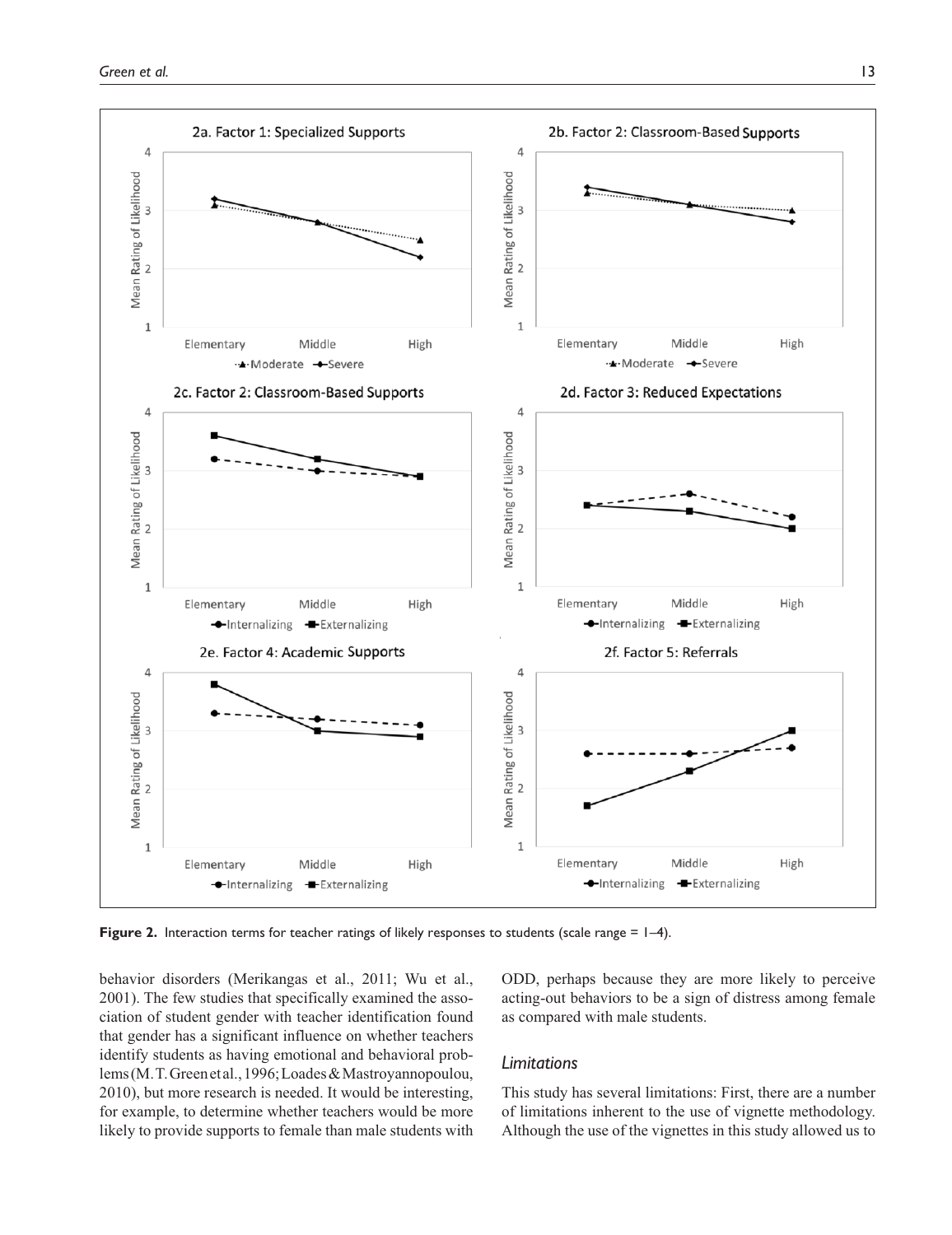

**Figure 2.** Interaction terms for teacher ratings of likely responses to students (scale range = 1–4).

behavior disorders (Merikangas et al., 2011; Wu et al., 2001). The few studies that specifically examined the association of student gender with teacher identification found that gender has a significant influence on whether teachers identify students as having emotional and behavioral problems (M. T. Green etal., 1996; Loades & Mastroyannopoulou, 2010), but more research is needed. It would be interesting, for example, to determine whether teachers would be more likely to provide supports to female than male students with ODD, perhaps because they are more likely to perceive acting-out behaviors to be a sign of distress among female as compared with male students.

### *Limitations*

This study has several limitations: First, there are a number of limitations inherent to the use of vignette methodology. Although the use of the vignettes in this study allowed us to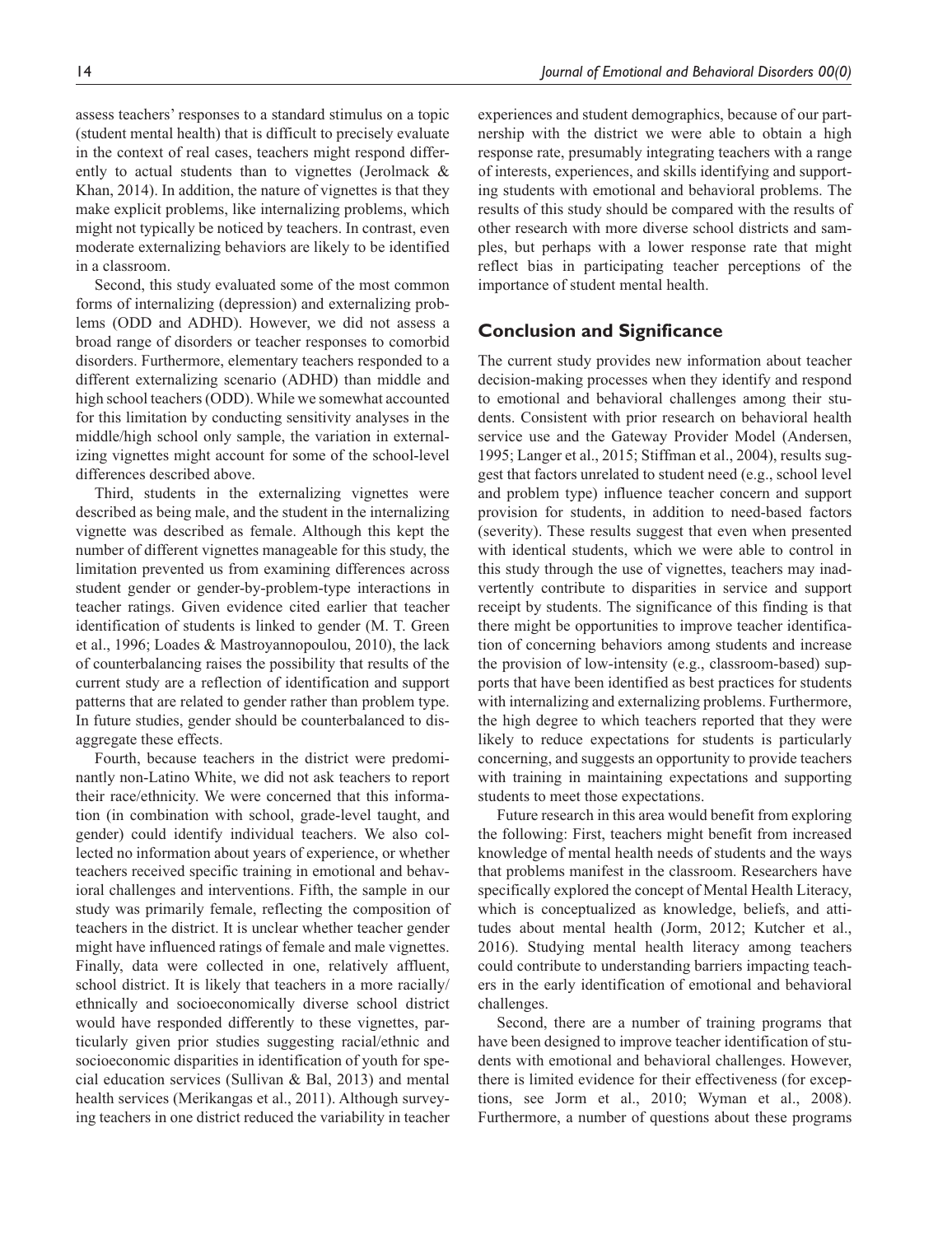assess teachers' responses to a standard stimulus on a topic (student mental health) that is difficult to precisely evaluate in the context of real cases, teachers might respond differently to actual students than to vignettes (Jerolmack & Khan, 2014). In addition, the nature of vignettes is that they make explicit problems, like internalizing problems, which might not typically be noticed by teachers. In contrast, even moderate externalizing behaviors are likely to be identified in a classroom.

Second, this study evaluated some of the most common forms of internalizing (depression) and externalizing problems (ODD and ADHD). However, we did not assess a broad range of disorders or teacher responses to comorbid disorders. Furthermore, elementary teachers responded to a different externalizing scenario (ADHD) than middle and high school teachers (ODD). While we somewhat accounted for this limitation by conducting sensitivity analyses in the middle/high school only sample, the variation in externalizing vignettes might account for some of the school-level differences described above.

Third, students in the externalizing vignettes were described as being male, and the student in the internalizing vignette was described as female. Although this kept the number of different vignettes manageable for this study, the limitation prevented us from examining differences across student gender or gender-by-problem-type interactions in teacher ratings. Given evidence cited earlier that teacher identification of students is linked to gender (M. T. Green et al., 1996; Loades & Mastroyannopoulou, 2010), the lack of counterbalancing raises the possibility that results of the current study are a reflection of identification and support patterns that are related to gender rather than problem type. In future studies, gender should be counterbalanced to disaggregate these effects.

Fourth, because teachers in the district were predominantly non-Latino White, we did not ask teachers to report their race/ethnicity. We were concerned that this information (in combination with school, grade-level taught, and gender) could identify individual teachers. We also collected no information about years of experience, or whether teachers received specific training in emotional and behavioral challenges and interventions. Fifth, the sample in our study was primarily female, reflecting the composition of teachers in the district. It is unclear whether teacher gender might have influenced ratings of female and male vignettes. Finally, data were collected in one, relatively affluent, school district. It is likely that teachers in a more racially/ ethnically and socioeconomically diverse school district would have responded differently to these vignettes, particularly given prior studies suggesting racial/ethnic and socioeconomic disparities in identification of youth for special education services (Sullivan & Bal, 2013) and mental health services (Merikangas et al., 2011). Although surveying teachers in one district reduced the variability in teacher

experiences and student demographics, because of our partnership with the district we were able to obtain a high response rate, presumably integrating teachers with a range of interests, experiences, and skills identifying and supporting students with emotional and behavioral problems. The results of this study should be compared with the results of other research with more diverse school districts and samples, but perhaps with a lower response rate that might reflect bias in participating teacher perceptions of the importance of student mental health.

### **Conclusion and Significance**

The current study provides new information about teacher decision-making processes when they identify and respond to emotional and behavioral challenges among their students. Consistent with prior research on behavioral health service use and the Gateway Provider Model (Andersen, 1995; Langer et al., 2015; Stiffman et al., 2004), results suggest that factors unrelated to student need (e.g., school level and problem type) influence teacher concern and support provision for students, in addition to need-based factors (severity). These results suggest that even when presented with identical students, which we were able to control in this study through the use of vignettes, teachers may inadvertently contribute to disparities in service and support receipt by students. The significance of this finding is that there might be opportunities to improve teacher identification of concerning behaviors among students and increase the provision of low-intensity (e.g., classroom-based) supports that have been identified as best practices for students with internalizing and externalizing problems. Furthermore, the high degree to which teachers reported that they were likely to reduce expectations for students is particularly concerning, and suggests an opportunity to provide teachers with training in maintaining expectations and supporting students to meet those expectations.

Future research in this area would benefit from exploring the following: First, teachers might benefit from increased knowledge of mental health needs of students and the ways that problems manifest in the classroom. Researchers have specifically explored the concept of Mental Health Literacy, which is conceptualized as knowledge, beliefs, and attitudes about mental health (Jorm, 2012; Kutcher et al., 2016). Studying mental health literacy among teachers could contribute to understanding barriers impacting teachers in the early identification of emotional and behavioral challenges.

Second, there are a number of training programs that have been designed to improve teacher identification of students with emotional and behavioral challenges. However, there is limited evidence for their effectiveness (for exceptions, see Jorm et al., 2010; Wyman et al., 2008). Furthermore, a number of questions about these programs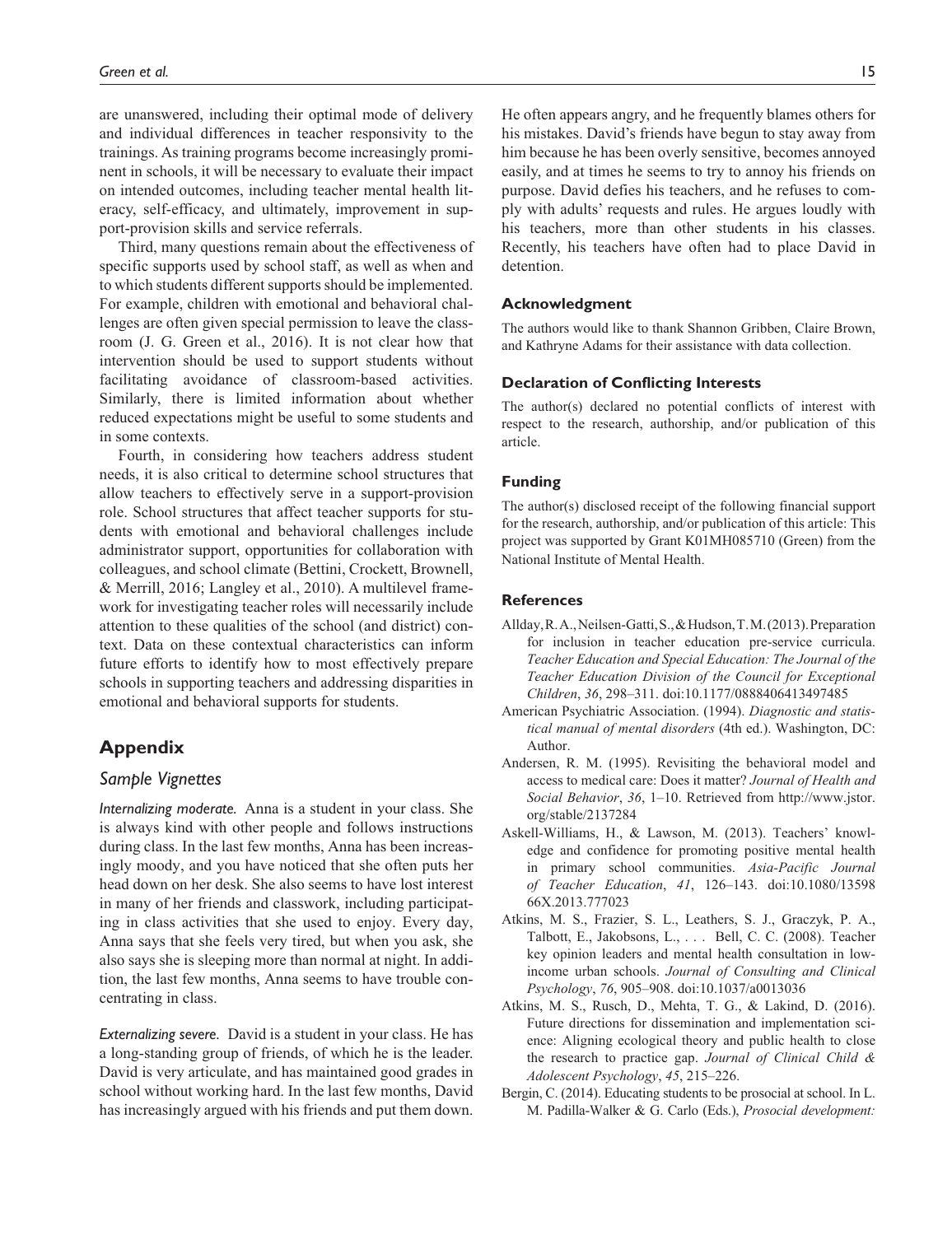are unanswered, including their optimal mode of delivery and individual differences in teacher responsivity to the trainings. As training programs become increasingly prominent in schools, it will be necessary to evaluate their impact on intended outcomes, including teacher mental health literacy, self-efficacy, and ultimately, improvement in support-provision skills and service referrals.

Third, many questions remain about the effectiveness of specific supports used by school staff, as well as when and to which students different supports should be implemented. For example, children with emotional and behavioral challenges are often given special permission to leave the classroom (J. G. Green et al., 2016). It is not clear how that intervention should be used to support students without facilitating avoidance of classroom-based activities. Similarly, there is limited information about whether reduced expectations might be useful to some students and in some contexts.

Fourth, in considering how teachers address student needs, it is also critical to determine school structures that allow teachers to effectively serve in a support-provision role. School structures that affect teacher supports for students with emotional and behavioral challenges include administrator support, opportunities for collaboration with colleagues, and school climate (Bettini, Crockett, Brownell, & Merrill, 2016; Langley et al., 2010). A multilevel framework for investigating teacher roles will necessarily include attention to these qualities of the school (and district) context. Data on these contextual characteristics can inform future efforts to identify how to most effectively prepare schools in supporting teachers and addressing disparities in emotional and behavioral supports for students.

# **Appendix**

### *Sample Vignettes*

*Internalizing moderate.* Anna is a student in your class. She is always kind with other people and follows instructions during class. In the last few months, Anna has been increasingly moody, and you have noticed that she often puts her head down on her desk. She also seems to have lost interest in many of her friends and classwork, including participating in class activities that she used to enjoy. Every day, Anna says that she feels very tired, but when you ask, she also says she is sleeping more than normal at night. In addition, the last few months, Anna seems to have trouble concentrating in class.

*Externalizing severe.* David is a student in your class. He has a long-standing group of friends, of which he is the leader. David is very articulate, and has maintained good grades in school without working hard. In the last few months, David has increasingly argued with his friends and put them down. He often appears angry, and he frequently blames others for his mistakes. David's friends have begun to stay away from him because he has been overly sensitive, becomes annoyed easily, and at times he seems to try to annoy his friends on purpose. David defies his teachers, and he refuses to comply with adults' requests and rules. He argues loudly with his teachers, more than other students in his classes. Recently, his teachers have often had to place David in detention.

#### **Acknowledgment**

The authors would like to thank Shannon Gribben, Claire Brown, and Kathryne Adams for their assistance with data collection.

#### **Declaration of Conflicting Interests**

The author(s) declared no potential conflicts of interest with respect to the research, authorship, and/or publication of this article.

#### **Funding**

The author(s) disclosed receipt of the following financial support for the research, authorship, and/or publication of this article: This project was supported by Grant K01MH085710 (Green) from the National Institute of Mental Health.

#### **References**

- Allday, R. A., Neilsen-Gatti, S., & Hudson, T. M. (2013). Preparation for inclusion in teacher education pre-service curricula. *Teacher Education and Special Education: The Journal of the Teacher Education Division of the Council for Exceptional Children*, *36*, 298–311. doi:10.1177/0888406413497485
- American Psychiatric Association. (1994). *Diagnostic and statistical manual of mental disorders* (4th ed.). Washington, DC: Author.
- Andersen, R. M. (1995). Revisiting the behavioral model and access to medical care: Does it matter? *Journal of Health and Social Behavior*, *36*, 1–10. Retrieved from [http://www.jstor.](http://www.jstor.org/stable/2137284) [org/stable/2137284](http://www.jstor.org/stable/2137284)
- Askell-Williams, H., & Lawson, M. (2013). Teachers' knowledge and confidence for promoting positive mental health in primary school communities. *Asia-Pacific Journal of Teacher Education*, *41*, 126–143. doi:10.1080/13598 66X.2013.777023
- Atkins, M. S., Frazier, S. L., Leathers, S. J., Graczyk, P. A., Talbott, E., Jakobsons, L., . . . Bell, C. C. (2008). Teacher key opinion leaders and mental health consultation in lowincome urban schools. *Journal of Consulting and Clinical Psychology*, *76*, 905–908. doi:10.1037/a0013036
- Atkins, M. S., Rusch, D., Mehta, T. G., & Lakind, D. (2016). Future directions for dissemination and implementation science: Aligning ecological theory and public health to close the research to practice gap. *Journal of Clinical Child & Adolescent Psychology*, *45*, 215–226.
- Bergin, C. (2014). Educating students to be prosocial at school. In L. M. Padilla-Walker & G. Carlo (Eds.), *Prosocial development:*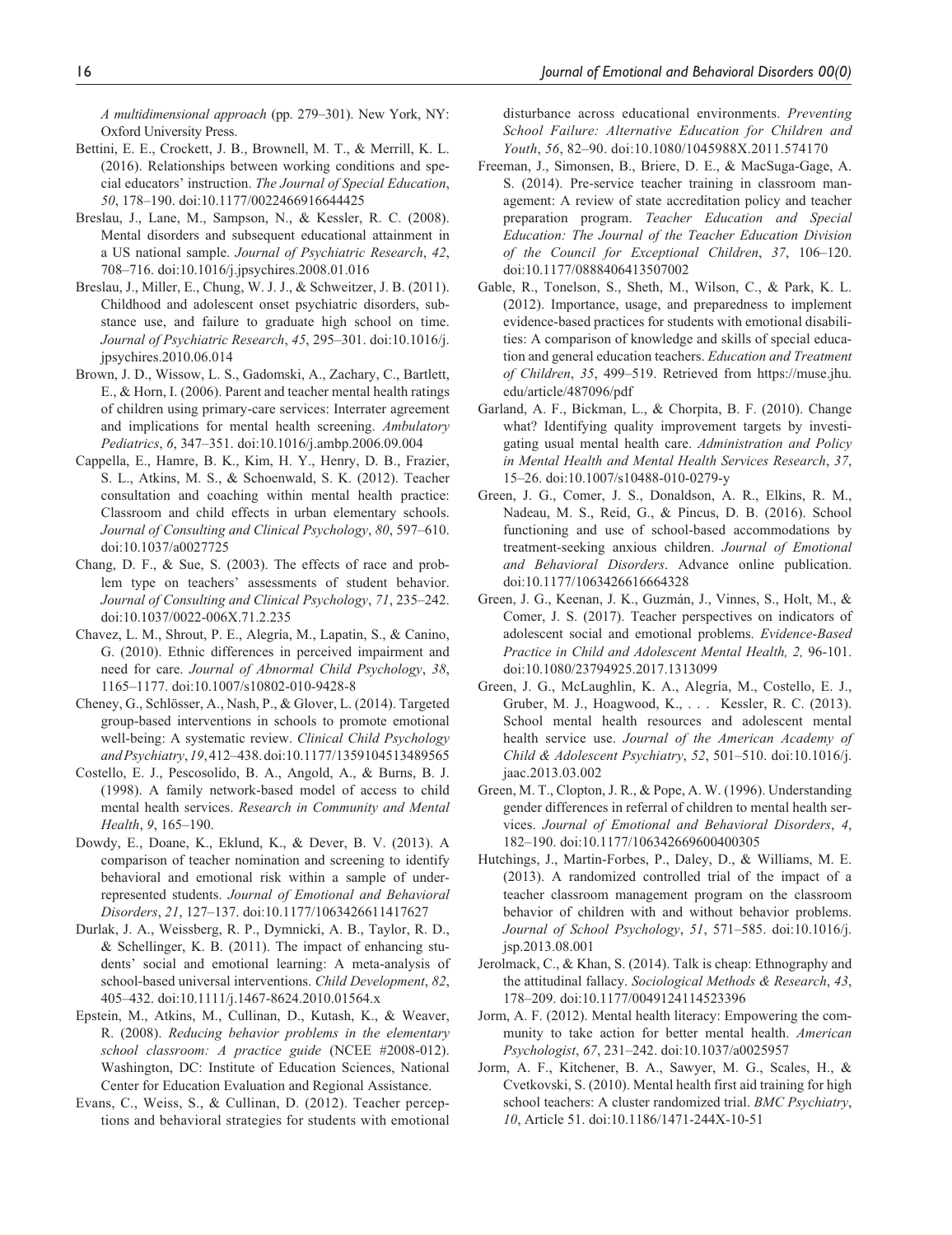*A multidimensional approach* (pp. 279–301). New York, NY: Oxford University Press.

- Bettini, E. E., Crockett, J. B., Brownell, M. T., & Merrill, K. L. (2016). Relationships between working conditions and special educators' instruction. *The Journal of Special Education*, *50*, 178–190. doi:10.1177/0022466916644425
- Breslau, J., Lane, M., Sampson, N., & Kessler, R. C. (2008). Mental disorders and subsequent educational attainment in a US national sample. *Journal of Psychiatric Research*, *42*, 708–716. doi:10.1016/j.jpsychires.2008.01.016
- Breslau, J., Miller, E., Chung, W. J. J., & Schweitzer, J. B. (2011). Childhood and adolescent onset psychiatric disorders, substance use, and failure to graduate high school on time. *Journal of Psychiatric Research*, *45*, 295–301. doi:10.1016/j. jpsychires.2010.06.014
- Brown, J. D., Wissow, L. S., Gadomski, A., Zachary, C., Bartlett, E., & Horn, I. (2006). Parent and teacher mental health ratings of children using primary-care services: Interrater agreement and implications for mental health screening. *Ambulatory Pediatrics*, *6*, 347–351. doi:10.1016/j.ambp.2006.09.004
- Cappella, E., Hamre, B. K., Kim, H. Y., Henry, D. B., Frazier, S. L., Atkins, M. S., & Schoenwald, S. K. (2012). Teacher consultation and coaching within mental health practice: Classroom and child effects in urban elementary schools. *Journal of Consulting and Clinical Psychology*, *80*, 597–610. doi:10.1037/a0027725
- Chang, D. F., & Sue, S. (2003). The effects of race and problem type on teachers' assessments of student behavior. *Journal of Consulting and Clinical Psychology*, *71*, 235–242. doi:10.1037/0022-006X.71.2.235
- Chavez, L. M., Shrout, P. E., Alegría, M., Lapatin, S., & Canino, G. (2010). Ethnic differences in perceived impairment and need for care. *Journal of Abnormal Child Psychology*, *38*, 1165–1177. doi:10.1007/s10802-010-9428-8
- Cheney, G., Schlösser, A., Nash, P., & Glover, L. (2014). Targeted group-based interventions in schools to promote emotional well-being: A systematic review. *Clinical Child Psychology and Psychiatry*, *19*, 412–438. doi:10.1177/1359104513489565
- Costello, E. J., Pescosolido, B. A., Angold, A., & Burns, B. J. (1998). A family network-based model of access to child mental health services. *Research in Community and Mental Health*, *9*, 165–190.
- Dowdy, E., Doane, K., Eklund, K., & Dever, B. V. (2013). A comparison of teacher nomination and screening to identify behavioral and emotional risk within a sample of underrepresented students. *Journal of Emotional and Behavioral Disorders*, *21*, 127–137. doi:10.1177/1063426611417627
- Durlak, J. A., Weissberg, R. P., Dymnicki, A. B., Taylor, R. D., & Schellinger, K. B. (2011). The impact of enhancing students' social and emotional learning: A meta-analysis of school-based universal interventions. *Child Development*, *82*, 405–432. doi:10.1111/j.1467-8624.2010.01564.x
- Epstein, M., Atkins, M., Cullinan, D., Kutash, K., & Weaver, R. (2008). *Reducing behavior problems in the elementary school classroom: A practice guide* (NCEE #2008-012). Washington, DC: Institute of Education Sciences, National Center for Education Evaluation and Regional Assistance.
- Evans, C., Weiss, S., & Cullinan, D. (2012). Teacher perceptions and behavioral strategies for students with emotional

disturbance across educational environments. *Preventing School Failure: Alternative Education for Children and Youth*, *56*, 82–90. doi:10.1080/1045988X.2011.574170

- Freeman, J., Simonsen, B., Briere, D. E., & MacSuga-Gage, A. S. (2014). Pre-service teacher training in classroom management: A review of state accreditation policy and teacher preparation program. *Teacher Education and Special Education: The Journal of the Teacher Education Division of the Council for Exceptional Children*, *37*, 106–120. doi:10.1177/0888406413507002
- Gable, R., Tonelson, S., Sheth, M., Wilson, C., & Park, K. L. (2012). Importance, usage, and preparedness to implement evidence-based practices for students with emotional disabilities: A comparison of knowledge and skills of special education and general education teachers. *Education and Treatment of Children*, *35*, 499–519. Retrieved from [https://muse.jhu.](https://muse.jhu.edu/article/487096/pdf) [edu/article/487096/pdf](https://muse.jhu.edu/article/487096/pdf)
- Garland, A. F., Bickman, L., & Chorpita, B. F. (2010). Change what? Identifying quality improvement targets by investigating usual mental health care. *Administration and Policy in Mental Health and Mental Health Services Research*, *37*, 15–26. doi:10.1007/s10488-010-0279-y
- Green, J. G., Comer, J. S., Donaldson, A. R., Elkins, R. M., Nadeau, M. S., Reid, G., & Pincus, D. B. (2016). School functioning and use of school-based accommodations by treatment-seeking anxious children. *Journal of Emotional and Behavioral Disorders*. Advance online publication. doi:10.1177/1063426616664328
- Green, J. G., Keenan, J. K., Guzmán, J., Vinnes, S., Holt, M., & Comer, J. S. (2017). Teacher perspectives on indicators of adolescent social and emotional problems. *Evidence-Based Practice in Child and Adolescent Mental Health, 2,* 96-101. doi:10.1080/23794925.2017.1313099
- Green, J. G., McLaughlin, K. A., Alegría, M., Costello, E. J., Gruber, M. J., Hoagwood, K., . . . Kessler, R. C. (2013). School mental health resources and adolescent mental health service use. *Journal of the American Academy of Child & Adolescent Psychiatry*, *52*, 501–510. doi:10.1016/j. jaac.2013.03.002
- Green, M. T., Clopton, J. R., & Pope, A. W. (1996). Understanding gender differences in referral of children to mental health services. *Journal of Emotional and Behavioral Disorders*, *4*, 182–190. doi:10.1177/106342669600400305
- Hutchings, J., Martin-Forbes, P., Daley, D., & Williams, M. E. (2013). A randomized controlled trial of the impact of a teacher classroom management program on the classroom behavior of children with and without behavior problems. *Journal of School Psychology*, *51*, 571–585. doi:10.1016/j. jsp.2013.08.001
- Jerolmack, C., & Khan, S. (2014). Talk is cheap: Ethnography and the attitudinal fallacy. *Sociological Methods & Research*, *43*, 178–209. doi:10.1177/0049124114523396
- Jorm, A. F. (2012). Mental health literacy: Empowering the community to take action for better mental health. *American Psychologist*, *67*, 231–242. doi:10.1037/a0025957
- Jorm, A. F., Kitchener, B. A., Sawyer, M. G., Scales, H., & Cvetkovski, S. (2010). Mental health first aid training for high school teachers: A cluster randomized trial. *BMC Psychiatry*, *10*, Article 51. doi:10.1186/1471-244X-10-51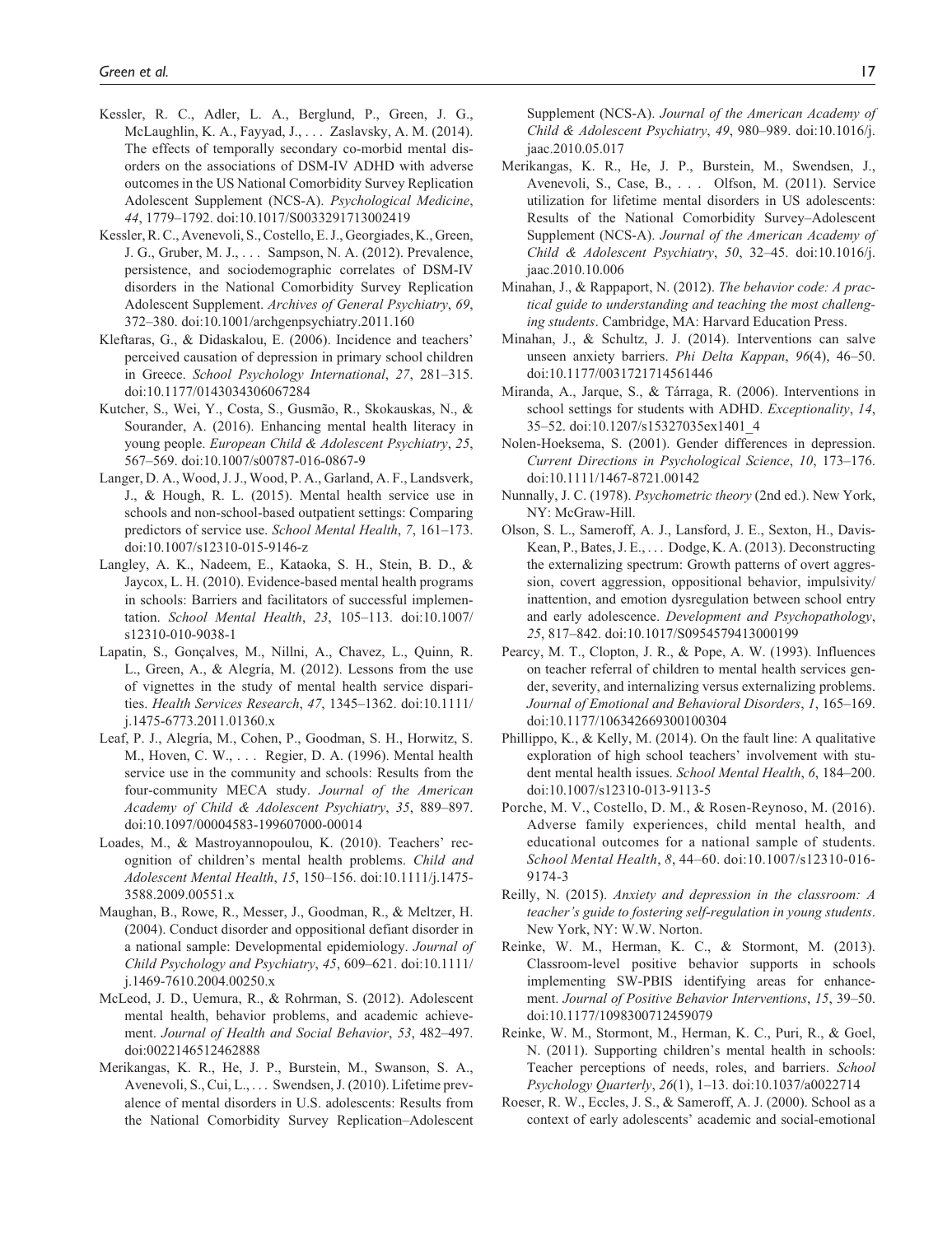- Kessler, R. C., Adler, L. A., Berglund, P., Green, J. G., McLaughlin, K. A., Fayyad, J., . . . Zaslavsky, A. M. (2014). The effects of temporally secondary co-morbid mental disorders on the associations of DSM-IV ADHD with adverse outcomes in the US National Comorbidity Survey Replication Adolescent Supplement (NCS-A). *Psychological Medicine*, *44*, 1779–1792. doi:10.1017/S0033291713002419
- Kessler, R. C., Avenevoli, S., Costello, E. J., Georgiades, K., Green, J. G., Gruber, M. J., . . . Sampson, N. A. (2012). Prevalence, persistence, and sociodemographic correlates of DSM-IV disorders in the National Comorbidity Survey Replication Adolescent Supplement. *Archives of General Psychiatry*, *69*, 372–380. doi:10.1001/archgenpsychiatry.2011.160
- Kleftaras, G., & Didaskalou, E. (2006). Incidence and teachers' perceived causation of depression in primary school children in Greece. *School Psychology International*, *27*, 281–315. doi:10.1177/0143034306067284
- Kutcher, S., Wei, Y., Costa, S., Gusmão, R., Skokauskas, N., & Sourander, A. (2016). Enhancing mental health literacy in young people. *European Child & Adolescent Psychiatry*, *25*, 567–569. doi:10.1007/s00787-016-0867-9
- Langer, D. A., Wood, J. J., Wood, P. A., Garland, A. F., Landsverk, J., & Hough, R. L. (2015). Mental health service use in schools and non-school-based outpatient settings: Comparing predictors of service use. *School Mental Health*, *7*, 161–173. doi:10.1007/s12310-015-9146-z
- Langley, A. K., Nadeem, E., Kataoka, S. H., Stein, B. D., & Jaycox, L. H. (2010). Evidence-based mental health programs in schools: Barriers and facilitators of successful implementation. *School Mental Health*, *23*, 105–113. doi:10.1007/ s12310-010-9038-1
- Lapatin, S., Gonçalves, M., Nillni, A., Chavez, L., Quinn, R. L., Green, A., & Alegría, M. (2012). Lessons from the use of vignettes in the study of mental health service disparities. *Health Services Research*, *47*, 1345–1362. doi:10.1111/ j.1475-6773.2011.01360.x
- Leaf, P. J., Alegría, M., Cohen, P., Goodman, S. H., Horwitz, S. M., Hoven, C. W., . . . Regier, D. A. (1996). Mental health service use in the community and schools: Results from the four-community MECA study. *Journal of the American Academy of Child & Adolescent Psychiatry*, *35*, 889–897. doi:10.1097/00004583-199607000-00014
- Loades, M., & Mastroyannopoulou, K. (2010). Teachers' recognition of children's mental health problems. *Child and Adolescent Mental Health*, *15*, 150–156. doi:10.1111/j.1475- 3588.2009.00551.x
- Maughan, B., Rowe, R., Messer, J., Goodman, R., & Meltzer, H. (2004). Conduct disorder and oppositional defiant disorder in a national sample: Developmental epidemiology. *Journal of Child Psychology and Psychiatry*, *45*, 609–621. doi:10.1111/ j.1469-7610.2004.00250.x
- McLeod, J. D., Uemura, R., & Rohrman, S. (2012). Adolescent mental health, behavior problems, and academic achievement. *Journal of Health and Social Behavior*, *53*, 482–497. doi:0022146512462888
- Merikangas, K. R., He, J. P., Burstein, M., Swanson, S. A., Avenevoli, S., Cui, L., . . . Swendsen, J. (2010). Lifetime prevalence of mental disorders in U.S. adolescents: Results from the National Comorbidity Survey Replication–Adolescent

Supplement (NCS-A). *Journal of the American Academy of Child & Adolescent Psychiatry*, *49*, 980–989. doi:10.1016/j. jaac.2010.05.017

- Merikangas, K. R., He, J. P., Burstein, M., Swendsen, J., Avenevoli, S., Case, B., . . . Olfson, M. (2011). Service utilization for lifetime mental disorders in US adolescents: Results of the National Comorbidity Survey–Adolescent Supplement (NCS-A). *Journal of the American Academy of Child & Adolescent Psychiatry*, *50*, 32–45. doi:10.1016/j. jaac.2010.10.006
- Minahan, J., & Rappaport, N. (2012). *The behavior code: A practical guide to understanding and teaching the most challenging students*. Cambridge, MA: Harvard Education Press.
- Minahan, J., & Schultz, J. J. (2014). Interventions can salve unseen anxiety barriers. *Phi Delta Kappan*, *96*(4), 46–50. doi:10.1177/0031721714561446
- Miranda, A., Jarque, S., & Tárraga, R. (2006). Interventions in school settings for students with ADHD. *Exceptionality*, *14*, 35–52. doi:10.1207/s15327035ex1401\_4
- Nolen-Hoeksema, S. (2001). Gender differences in depression. *Current Directions in Psychological Science*, *10*, 173–176. doi:10.1111/1467-8721.00142
- Nunnally, J. C. (1978). *Psychometric theory* (2nd ed.). New York, NY: McGraw-Hill.
- Olson, S. L., Sameroff, A. J., Lansford, J. E., Sexton, H., Davis-Kean, P., Bates, J. E., . . . Dodge, K. A. (2013). Deconstructing the externalizing spectrum: Growth patterns of overt aggression, covert aggression, oppositional behavior, impulsivity/ inattention, and emotion dysregulation between school entry and early adolescence. *Development and Psychopathology*, *25*, 817–842. doi:10.1017/S0954579413000199
- Pearcy, M. T., Clopton, J. R., & Pope, A. W. (1993). Influences on teacher referral of children to mental health services gender, severity, and internalizing versus externalizing problems. *Journal of Emotional and Behavioral Disorders*, *1*, 165–169. doi:10.1177/106342669300100304
- Phillippo, K., & Kelly, M. (2014). On the fault line: A qualitative exploration of high school teachers' involvement with student mental health issues. *School Mental Health*, *6*, 184–200. doi:10.1007/s12310-013-9113-5
- Porche, M. V., Costello, D. M., & Rosen-Reynoso, M. (2016). Adverse family experiences, child mental health, and educational outcomes for a national sample of students. *School Mental Health*, *8*, 44–60. doi:10.1007/s12310-016- 9174-3
- Reilly, N. (2015). *Anxiety and depression in the classroom: A teacher's guide to fostering self-regulation in young students*. New York, NY: W.W. Norton.
- Reinke, W. M., Herman, K. C., & Stormont, M. (2013). Classroom-level positive behavior supports in schools implementing SW-PBIS identifying areas for enhancement. *Journal of Positive Behavior Interventions*, *15*, 39–50. doi:10.1177/1098300712459079
- Reinke, W. M., Stormont, M., Herman, K. C., Puri, R., & Goel, N. (2011). Supporting children's mental health in schools: Teacher perceptions of needs, roles, and barriers. *School Psychology Quarterly*, *26*(1), 1–13. doi:10.1037/a0022714
- Roeser, R. W., Eccles, J. S., & Sameroff, A. J. (2000). School as a context of early adolescents' academic and social-emotional